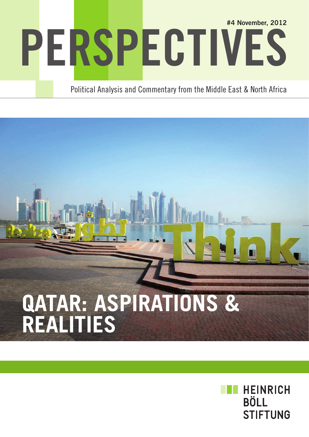# PERSPECTIVES #4 November, 2012

Political Analysis and Commentary from the Middle East & North Africa

## **Qatar: Aspirations & realities**

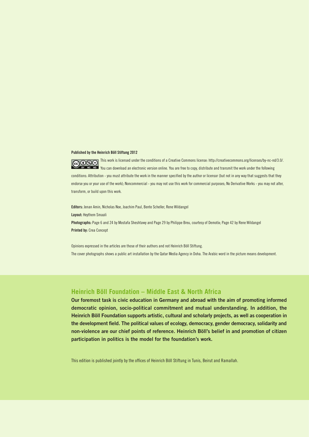#### Published by the Heinrich Böll Stiftung 2012

GOOSO This work is licensed under the conditions of a Creative Commons license: http://creativecommons.org/licenses/by-nc-nd/3.0/. NO NO You can download an electronic version online. You are free to copy, distribute and transmit the work under the following conditions: Attribution - you must attribute the work in the manner specified by the author or licensor (but not in any way that suggests that they endorse you or your use of the work); Noncommercial - you may not use this work for commercial purposes; No Derivative Works - you may not alter, transform, or build upon this work.

Editors: Jenan Amin, Nicholas Noe, Joachim Paul, Bente Scheller, Rene Wildangel Layout: Heythem Smaali Photographs: Page 6 and 24 by Mostafa Sheshtawy and Page 29 by Philippe Breu, courtesy of Demotix; Page 42 by Rene Wildangel Printed by: Crea Concept

Opinions expressed in the articles are those of their authors and not Heinrich Böll Stiftung. The cover photographs shows a public art installation by the Qatar Media Agency in Doha. The Arabic word in the picture means development.

### **Heinrich Böll Foundation – Middle East & North Africa**

Our foremost task is civic education in Germany and abroad with the aim of promoting informed democratic opinion, socio-political commitment and mutual understanding. In addition, the Heinrich Böll Foundation supports artistic, cultural and scholarly projects, as well as cooperation in the development field. The political values of ecology, democracy, gender democracy, solidarity and non-violence are our chief points of reference. Heinrich Böll's belief in and promotion of citizen participation in politics is the model for the foundation's work.

This edition is published jointly by the offices of Heinrich Böll Stiftung in Tunis, Beirut and Ramallah.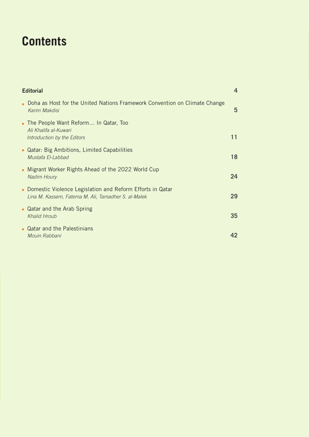### **Contents**

| <b>Editorial</b>                                                                                                 |    |
|------------------------------------------------------------------------------------------------------------------|----|
| Doha as Host for the United Nations Framework Convention on Climate Change<br>Karim Makdisi                      | 5  |
| The People Want Reform In Qatar, Too<br>Ali Khalifa al-Kuwari<br>Introduction by the Editors                     | 11 |
| • Qatar: Big Ambitions, Limited Capabilities<br>Mustafa El-Labbad                                                | 18 |
| • Migrant Worker Rights Ahead of the 2022 World Cup<br>Nadim Houry                                               | 24 |
| Domestic Violence Legislation and Reform Efforts in Qatar<br>Lina M. Kassem, Fatema M. Ali, Tamadher S. al-Malek | 29 |
| • Qatar and the Arab Spring<br><b>Khalid Hroub</b>                                                               | 35 |
| • Qatar and the Palestinians<br>Mouin Rabbani                                                                    | 42 |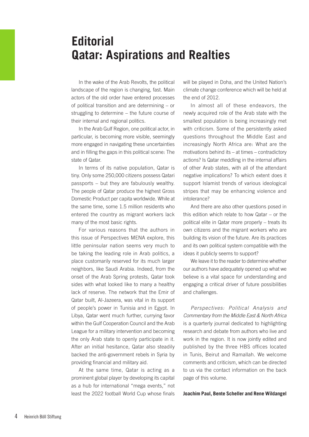### **Editorial Qatar: Aspirations and Realties**

In the wake of the Arab Revolts, the political landscape of the region is changing, fast. Main actors of the old order have entered processes of political transition and are determining – or struggling to determine – the future course of their internal and regional politics.

In the Arab Gulf Region, one political actor, in particular, is becoming more visible, seemingly more engaged in navigating these uncertainties and in filling the gaps in this political scene: The state of Qatar.

In terms of its native population, Qatar is tiny. Only some 250,000 citizens possess Qatari passports – but they are fabulously wealthy. The people of Qatar produce the highest Gross Domestic Product per capita worldwide. While at the same time, some 1.5 million residents who entered the country as migrant workers lack many of the most basic rights.

For various reasons that the authors in this issue of Perspectives MENA explore, this little peninsular nation seems very much to be taking the leading role in Arab politics, a place customarily reserved for its much larger neighbors, like Saudi Arabia. Indeed, from the onset of the Arab Spring protests, Qatar took sides with what looked like to many a healthy lack of reserve. The network that the Emir of Qatar built, Al-Jazeera, was vital in its support of people's power in Tunisia and in Egypt. In Libya, Qatar went much further, currying favor within the Gulf Cooperation Council and the Arab League for a military intervention and becoming the only Arab state to openly participate in it. After an initial hesitance, Qatar also steadily backed the anti-government rebels in Syria by providing financial and military aid.

At the same time, Qatar is acting as a prominent global player by developing its capital as a hub for international "mega events," not least the 2022 football World Cup whose finals will be played in Doha, and the United Nation's climate change conference which will be held at the end of 2012.

In almost all of these endeavors, the newly acquired role of the Arab state with the smallest population is being increasingly met with criticism. Some of the persistently asked questions throughout the Middle East and increasingly North Africa are: What are the motivations behind its – at times – contradictory actions? Is Qatar meddling in the internal affairs of other Arab states, with all of the attendant negative implications? To which extent does it support Islamist trends of various ideological stripes that may be enhancing violence and intolerance?

And there are also other questions posed in this edition which relate to how Qatar – or the political elite in Qatar more properly – treats its own citizens and the migrant workers who are building its vision of the future. Are its practices and its own political system compatible with the ideas it publicly seems to support?

We leave it to the reader to determine whether our authors have adequately opened up what we believe is a vital space for understanding and engaging a critical driver of future possibilities and challenges.

*Perspectives: Political Analysis and Commentary from the Middle East & North Africa*  is a quarterly journal dedicated to highlighting research and debate from authors who live and work in the region. It is now jointly edited and published by the three HBS offices located in Tunis, Beirut and Ramallah. We welcome comments and criticism, which can be directed to us via the contact information on the back page of this volume.

**Joachim Paul, Bente Scheller and Rene Wildangel**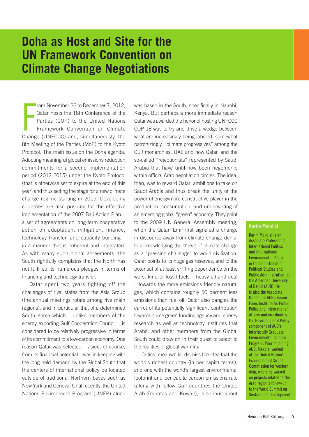### **Doha as Host and Site for the UN Framework Convention on Climate Change Negotiations**

From November 26 to December 7, 2012,<br>Qatar hosts the 18th Conference of the<br>Parties (COP) to the United Nations<br>Framework Convention on Climate<br>Change (UNFCCC) and, simultaneously, the rom November 26 to December 7, 2012, Qatar hosts the 18th Conference of the Parties (COP) to the United Nations Framework Convention on Climate 8th Meeting of the Parties (MoP) to the Kyoto Protocol. The main issue on the Doha agenda: Adopting meaningful global emissions reduction commitments for a second implementation period (2012-2015) under the Kyoto Protocol (that is otherwise set to expire at the end of this year) and thus setting the stage for a new climate change regime starting in 2015. Developing countries are also pushing for the effective implementation of the 2007 Bali Action Plan – a set of agreements on long-term cooperative action on adaptation, mitigation, finance, technology transfer, and capacity building – in a manner that is coherent and integrated. As with many such global agreements, the South rightfully complains that the North has not fulfilled its numerous pledges in terms of financing and technology transfer.

Qatar spent two years fighting off the challenges of rival states from the Asia Group (the annual meetings rotate among five main regions), and in particular that of a determined South Korea which – unlike members of the energy exporting Gulf Cooperation Council – is considered to be relatively progressive in terms of its commitment to a low-carbon economy. One reason Qatar was selected – aside, of course, from its financial potential – was in keeping with the long-held demand by the Global South that the centers of international policy be located outside of traditional Northern bases such as New York and Geneva. Until recently, the United Nations Environment Program (UNEP) alone

was based in the South, specifically in Nairobi, Kenya. But perhaps a more immediate reason Qatar was awarded the honor of hosting UNFCCC COP 18 was to try and drive a wedge between what are increasingly being labeled, somewhat patronizingly, "climate progressives" among the Gulf monarchies, UAE and now Qatar, and the so-called "rejectionists" represented by Saudi Arabia that have until now been hegemonic within official Arab negotiation circles. The idea, then, was to reward Qatari ambitions to take on Saudi Arabia and thus break the unity of the powerful energymore constructive player in the production, consumption, and underwriting of an emerging global "green" economy. They point to the 2009 UN General Assembly meeting, when the Qatari Emir first signaled a change in discourse away from climate change denial to acknowledging the threat of climate change as a "pressing challenge" to world civilization. Qatar points to its huge gas reserves, and to the potential of at least shifting dependence on the worst kind of fossil fuels – heavy oil and coal – towards the more emissions-friendly natural gas, which contains roughly 50 percent less emissions than fuel oil. Qatar also dangles the carrot of its potentially significant contribution towards some green funding agency and energy research as well as technology institutes that Arabs, and other members from the Global South could draw on in their quest to adapt to the realities of global warming.

Critics, meanwhile, dismiss the idea that the world's richest country (in per capita terms), and one with the world's largest environmental footprint and per capita carbon emissions rate (along with fellow Gulf countries the United Arab Emirates and Kuwait), is serious about

### Karim Makdisi

Karim Makdisi is an Associate Professor of International Politics and International Environmental Policy in the Department of Political Studies and Public Administration at the American University of Beirut (AUB). He is also the Associate Director of AUB's Issam Fares Institute for Public Policy and International Affairs and coordinates the Environmental Policy component of AUB's Interfaculty Graduate Environmental Science Program. Prior to joining AUB, Makdisi worked at the United Nation's Economic and Social Commission for Western Asia, where he worked on projects related to the Arab region's follow-up to the World Summit on Sustainable Development.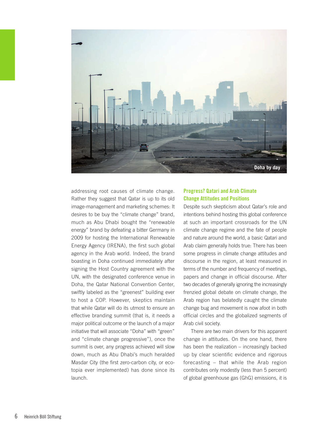

addressing root causes of climate change. Rather they suggest that Qatar is up to its old image-management and marketing schemes: It desires to be buy the "climate change" brand, much as Abu Dhabi bought the "renewable energy" brand by defeating a bitter Germany in 2009 for hosting the International Renewable Energy Agency (IRENA), the first such global agency in the Arab world. Indeed, the brand boasting in Doha continued immediately after signing the Host Country agreement with the UN, with the designated conference venue in Doha, the Qatar National Convention Center, swiftly labeled as the "greenest" building ever to host a COP. However, skeptics maintain that while Qatar will do its utmost to ensure an effective branding summit (that is, it needs a major political outcome or the launch of a major initiative that will associate "Doha" with "green" and "climate change progressive"), once the summit is over, any progress achieved will slow down, much as Abu Dhabi's much heralded Masdar City (the first zero-carbon city, or ecotopia ever implemented) has done since its launch.

### Progress? Qatari and Arab Climate Change Attitudes and Positions

Despite such skepticism about Qatar's role and intentions behind hosting this global conference at such an important crossroads for the UN climate change regime and the fate of people and nature around the world, a basic Qatari and Arab claim generally holds true: There has been some progress in climate change attitudes and discourse in the region, at least measured in terms of the number and frequency of meetings, papers and change in official discourse. After two decades of generally ignoring the increasingly frenzied global debate on climate change, the Arab region has belatedly caught the climate change bug and movement is now afoot in both official circles and the globalized segments of Arab civil society.

There are two main drivers for this apparent change in attitudes. On the one hand, there has been the realization – increasingly backed up by clear scientific evidence and rigorous forecasting – that while the Arab region contributes only modestly (less than 5 percent) of global greenhouse gas (GhG) emissions, it is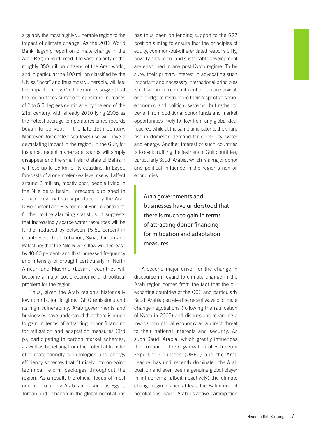arguably the most highly vulnerable region to the impact of climate change. As the 2012 World Bank flagship report on climate change in the Arab Region reaffirmed, the vast majority of the roughly 350 million citizens of the Arab world, and in particular the 100 million classified by the UN as "poor" and thus most vulnerable, will feel this impact directly. Credible models suggest that the region faces surface temperature increases of 2 to 5.5 degrees centigrade by the end of the 21st century, with already 2010 tying 2005 as the hottest average temperatures since records began to be kept in the late 19th century. Moreover, forecasted sea level rise will have a devastating impact in the region. In the Gulf, for instance, recent man-made islands will simply disappear and the small island state of Bahrain will lose up to 15 km of its coastline. In Egypt, forecasts of a one-meter sea level rise will affect around 6 million, mostly poor, people living in the Nile delta basin. Forecasts published in a major regional study produced by the Arab Development and Environment Forum contribute further to the alarming statistics. It suggests that increasingly scarce water resources will be further reduced by between 15-50 percent in countries such as Lebanon, Syria, Jordan and Palestine; that the Nile River's flow will decrease by 40-60 percent; and that increased frequency and intensity of drought particularly in North African and Mashriq (Levant) countries will become a major socio-economic and political problem for the region.

Thus, given the Arab region's historically low contribution to global GHG emissions and its high vulnerability, Arab governments and businesses have understood that there is much to gain in terms of attracting donor financing for mitigation and adaptation measures (3rd p), participating in carbon market schemes, as well as benefiting from the potential transfer of climate-friendly technologies and energy efficiency schemes that fit nicely into on-going technical reform packages throughout the region. As a result, the official focus of most non-oil producing Arab states such as Egypt, Jordan and Lebanon in the global negotiations

has thus been on lending support to the G77 position aiming to ensure that the principles of equity, common-but-differentiated responsibility, poverty alleviation, and sustainable development are enshrined in any post-Kyoto regime. To be sure, their primary interest in advocating such important and necessary international principles is not so much a commitment to human survival, or a pledge to restructure their respective socioeconomic and political systems, but rather to benefit from additional donor funds and market opportunities likely to flow from any global deal reached while at the same time cater to the sharp rise in domestic demand for electricity, water and energy. Another interest of such countries is to avoid ruffling the feathers of Gulf countries, particularly Saudi Arabia, which is a major donor and political influence in the region's non-oil economies.

Arab governments and businesses have understood that there is much to gain in terms of attracting donor financing for mitigation and adaptation measures.

A second major driver for the change in discourse in regard to climate change in the Arab region comes from the fact that the oilexporting countries of the GCC and particularly Saudi Arabia perceive the recent wave of climate change negotiations (following the ratification of Kyoto in 2005) and discussions regarding a low-carbon global economy as a direct threat to their national interests and security. As such Saudi Arabia, which greatly influences the position of the Organization of Petroleum Exporting Countries (OPEC) and the Arab League, has until recently dominated the Arab position and even been a genuine global player in influencing (albeit negatively) the climate change regime since at least the Bali round of negotiations. Saudi Arabia's active participation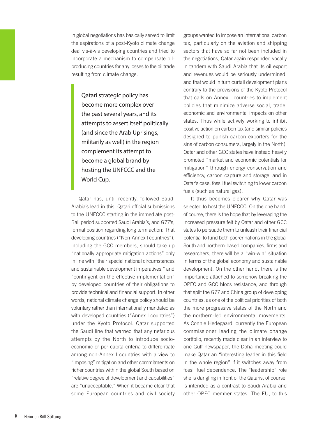in global negotiations has basically served to limit the aspirations of a post-Kyoto climate change deal vis-à-vis developing countries and tried to incorporate a mechanism to compensate oilproducing countries for any losses to the oil trade resulting from climate change.

Qatari strategic policy has become more complex over the past several years, and its attempts to assert itself politically (and since the Arab Uprisings, militarily as well) in the region complement its attempt to become a global brand by hosting the UNFCCC and the World Cup.

Qatar has, until recently, followed Saudi Arabia's lead in this. Qatari official submissions to the UNFCCC starting in the immediate post-Bali period supported Saudi Arabia's, and G77's, formal position regarding long term action: That developing countries ("Non-Annex I countries"), including the GCC members, should take up "nationally appropriate mitigation actions" only in line with "their special national circumstances and sustainable development imperatives," and "contingent on the effective implementation" by developed countries of their obligations to provide technical and financial support. In other words, national climate change policy should be voluntary rather than internationally mandated as with developed countries ("Annex I countries") under the Kyoto Protocol. Qatar supported the Saudi line that warned that any nefarious attempts by the North to introduce socioeconomic or per capita criteria to differentiate among non-Annex I countries with a view to "imposing" mitigation and other commitments on richer countries within the global South based on "relative degree of development and capabilities" are "unacceptable." When it became clear that some European countries and civil society

groups wanted to impose an international carbon tax, particularly on the aviation and shipping sectors that have so far not been included in the negotiations, Qatar again responded vocally in tandem with Saudi Arabia that its oil export and revenues would be seriously undermined, and that would in turn curtail development plans contrary to the provisions of the Kyoto Protocol that calls on Annex I countries to implement policies that minimize adverse social, trade, economic and environmental impacts on other states. Thus while actively working to inhibit positive action on carbon tax (and similar policies designed to punish carbon exporters for the sins of carbon consumers, largely in the North), Qatar and other GCC states have instead heavily promoted "market and economic potentials for mitigation" through energy conservation and efficiency, carbon capture and storage, and in Qatar's case, fossil fuel switching to lower carbon fuels (such as natural gas).

It thus becomes clearer why Qatar was selected to host the UNFCCC. On the one hand, of course, there is the hope that by leveraging the increased pressure felt by Qatar and other GCC states to persuade them to unleash their financial potential to fund both poorer nations in the global South and northern-based companies, firms and researchers, there will be a "win-win" situation in terms of the global economy and sustainable development. On the other hand, there is the importance attached to somehow breaking the OPEC and GCC blocs resistance, and through that split the G77 and China group of developing countries, as one of the political priorities of both the more progressive states of the North and the northern-led environmental movements. As Connie Hedegaard, currently the European commissioner leading the climate change portfolio, recently made clear in an interview to one Gulf newspaper, the Doha meeting could make Qatar an "interesting leader in this field in the whole region" if it switches away from fossil fuel dependence. The "leadership" role she is dangling in front of the Qataris, of course, is intended as a contrast to Saudi Arabia and other OPEC member states. The EU, to this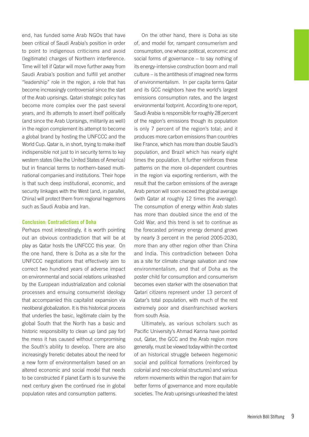end, has funded some Arab NGOs that have been critical of Saudi Arabia's position in order to point to indigenous criticisms and avoid (legitimate) charges of Northern interference. Time will tell if Qatar will move further away from Saudi Arabia's position and fulfill yet another "leadership" role in the region, a role that has become increasingly controversial since the start of the Arab uprisings. Qatari strategic policy has become more complex over the past several years, and its attempts to assert itself politically (and since the Arab Uprisings, militarily as well) in the region complement its attempt to become a global brand by hosting the UNFCCC and the World Cup. Qatar is, in short, trying to make itself indispensible not just to in security terms to key western states (like the United States of America) but in financial terms to northern-based multinational companies and institutions. Their hope is that such deep institutional, economic, and security linkages with the West (and, in parallel, China) will protect them from regional hegemons such as Saudi Arabia and Iran.

### Conclusion: Contradictions of Doha

Perhaps most interestingly, it is worth pointing out an obvious contradiction that will be at play as Qatar hosts the UNFCCC this year. On the one hand, there is Doha as a site for the UNFCCC negotiations that effectively aim to correct two hundred years of adverse impact on environmental and social relations unleashed by the European industrialization and colonial processes and ensuing consumerist ideology that accompanied this capitalist expansion via neoliberal globalization. It is this historical process that underlies the basic, legitimate claim by the global South that the North has a basic and historic responsibility to clean up (and pay for) the mess it has caused without compromising the South's ability to develop. There are also increasingly frenetic debates about the need for a new form of environmentalism based on an altered economic and social model that needs to be constructed if planet Earth is to survive the next century given the continued rise in global population rates and consumption patterns.

On the other hand, there is Doha as site of, and model for, rampant consumerism and consumption, one whose political, economic and social forms of governance – to say nothing of its energy-intensive construction boom and mall culture – is the antithesis of imagined new forms of environmentalism. In per capita terms Qatar and its GCC neighbors have the world's largest emissions consumption rates, and the largest environmental footprint. According to one report, Saudi Arabia is responsible for roughly 28 percent of the region's emissions though its population is only 7 percent of the region's total; and it produces more carbon emissions than countries like France, which has more than double Saudi's population, and Brazil which has nearly eight times the population. It further reinforces these patterns on the more oil-dependent countries in the region via exporting rentierism, with the result that the carbon emissions of the average Arab person will soon exceed the global average (with Qatar at roughly 12 times the average). The consumption of energy within Arab states has more than doubled since the end of the Cold War, and this trend is set to continue as the forecasted primary energy demand grows by nearly 3 percent in the period 2005-2030, more than any other region other than China and India. This contradiction between Doha as a site for climate change salvation and new environmentalism, and that of Doha as the poster child for consumption and consumerism becomes even starker with the observation that Qatari citizens represent under 13 percent of Qatar's total population, with much of the rest extremely poor and disenfranchised workers from south Asia.

Ultimately, as various scholars such as Pacific University's Ahmad Kanna have pointed out, Qatar, the GCC and the Arab region more generally, must be viewed today within the context of an historical struggle between hegemonic social and political formations (reinforced by colonial and neo-colonial structures) and various reform movements within the region that aim for better forms of governance and more equitable societies. The Arab uprisings unleashed the latest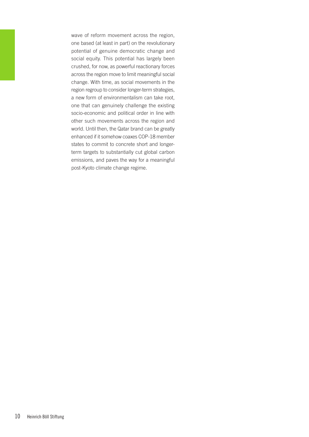wave of reform movement across the region, one based (at least in part) on the revolutionary potential of genuine democratic change and social equity. This potential has largely been crushed, for now, as powerful reactionary forces across the region move to limit meaningful social change. With time, as social movements in the region regroup to consider longer-term strategies, a new form of environmentalism can take root, one that can genuinely challenge the existing socio-economic and political order in line with other such movements across the region and world. Until then, the Qatar brand can be greatly enhanced if it somehow coaxes COP-18 member states to commit to concrete short and longerterm targets to substantially cut global carbon emissions, and paves the way for a meaningful post-Kyoto climate change regime.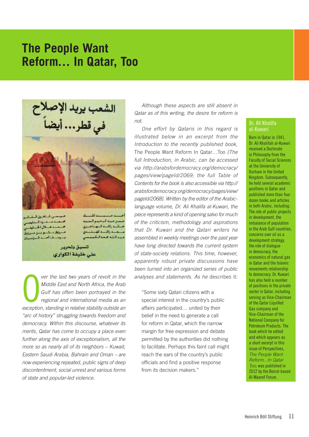### **The People Want Reform… In Qatar, Too**



**Pera the last two years of revolt in the Middle East and North Africa, the Arab Gulf has often been portrayed in the regional and international media as an exception, standing in relative stability outside an** *ver the last two years of revolt in the Middle East and North Africa, the Arab Gulf has often been portrayed in the regional and international media as an "arc of history" struggling towards freedom and democracy. Within this discourse, whatever its merits, Qatar has come to occupy a place even further along the axis of exceptionalism, all the more so as nearly all of its neighbors – Kuwait, Eastern Saudi Arabia, Bahrain and Oman – are now experiencing repeated, public signs of deep discontentment, social unrest and various forms* 

تنسيق وتحرير على خليفة الكوارى

*of state and popular-led violence.*

*pageId/2068]. Written by the editor of the Arabiclanguage volume, Dr. Ali Khalifa al-Kuwari, the piece represents a kind of opening salvo for much* 

*not.* 

*of the criticism, methodology and aspirations that Dr. Kuwari and the Qatari writers he assembled in weekly meetings over the past year have long directed towards the current system of state-society relations. This time, however, apparently robust private discussions have been turned into an organized series of public analyses and statements. As he* describes it:

*Although these aspects are still absent in Qatar as of this writing, the desire for reform is* 

*One effort by Qataris in this regard is illustrated below in an excerpt from the Introduction to the recently published book,*  The People Want Reform In Qatar…Too *[The full Introduction, in Arabic, can be accessed via http://arabsfordemocracy.org/democracy/ pages/view/pageId/2069; the full Table of Contents for the book is also accessible via http:// arabsfordemocracy.org/democracy/pages/view/*

"Some sixty Qatari citizens with a special interest in the country's public affairs participated… united by their belief in the need to generate a call for reform in Qatar, which the narrow margin for free expression and debate permitted by the authorities did nothing to facilitate. Perhaps this faint call might reach the ears of the country's public officials and find a positive response from its decision makers."

### Dr. Ali Khalifa al-Kuwari

Born in Qatar in 1941, Dr. Ali Khalifah al-Kuwari received a Doctorate in Philosophy from the Faculty of Social Sciences at the University of Durham in the United Kingdom. Subsequently, he held several academic positions in Qatar and published more than four dozen books and articles in both Arabic, including: The role of public projects in development, the imbalance of population in the Arab Gulf countries, concerns over oil as a development strategy, the role of dialogue in democracy, the economics of natural gas in Qatar and the Islamic movements relationship to democracy. Dr. Kuwari has also held a number of positions in the private sector in Qatar, including serving as Vice-Chairman of the Qatar Liquified Gas company and Vice-Chairman of the National Company for Petroleum Products. The book which he edited and which appears as a short excerpt in this issue of Perspectives, *The People Want Reform...In Qatar Too*, was published in 2012 by the Beirut-based Al-Maaref Forum.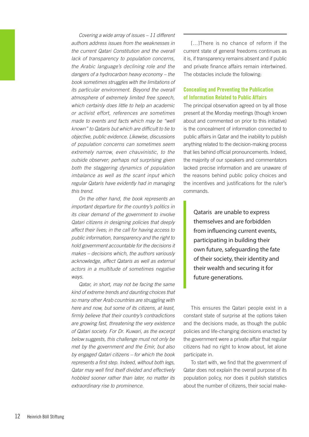*Covering a wide array of issues – 11 different authors address issues from the weaknesses in the current Qatari Constitution and the overall lack of transparency to population concerns, the Arabic language's declining role and the dangers of a hydrocarbon heavy economy – the book sometimes struggles with the limitations of its particular environment. Beyond the overall atmosphere of extremely limited free speech, which certainly does little to help an academic or activist effort, references are sometimes made to events and facts which may be "well known" to Qataris but which are difficult to tie to objective, public evidence. Likewise, discussions of population concerns can sometimes seem extremely narrow, even chauvinistic, to the outside observer; perhaps not surprising given both the staggering dynamics of population imbalance as well as the scant input which regular Qataris have evidently had in managing this trend.*

*On the other hand, the book represents an important departure for the country's politics in its clear demand of the government to involve Qatari citizens in designing policies that deeply affect their lives; in the call for having access to public information, transparency and the right to hold government accountable for the decisions it makes – decisions which, the authors variously acknowledge, affect Qataris as well as external actors in a multitude of sometimes negative ways.*

*Qatar, in short, may not be facing the same kind of extreme trends and daunting choices that so many other Arab countries are struggling with here and now, but some of its citizens, at least, firmly believe that their country's contradictions are growing fast, threatening the very existence of Qatari society. For Dr. Kuwari, as the excerpt below suggests, this challenge must not only be met by the government and the Emir, but also by engaged Qatari citizens – for which the book represents a first step. Indeed, without both legs, Qatar may well find itself divided and effectively hobbled sooner rather than later, no matter its extraordinary rise to prominence.*

[…]There is no chance of reform if the current state of general freedoms continues as it is, if transparency remains absent and if public and private finance affairs remain intertwined. The obstacles include the following:

### Concealing and Preventing the Publication of Information Related to Public Affairs

The principal observation agreed on by all those present at the Monday meetings (though known about and commented on prior to this initiative) is the concealment of information connected to public affairs in Qatar and the inability to publish anything related to the decision-making process that lies behind official pronouncements. Indeed, the majority of our speakers and commentators lacked precise information and are unaware of the reasons behind public policy choices and the incentives and justifications for the ruler's commands.

Qataris are unable to express themselves and are forbidden from influencing current events, participating in building their own future, safeguarding the fate of their society, their identity and their wealth and securing it for future generations.

This ensures the Qatari people exist in a constant state of surprise at the options taken and the decisions made, as though the public policies and life-changing decisions enacted by the government were a private affair that regular citizens had no right to know about, let alone participate in.

To start with, we find that the government of Qatar does not explain the overall purpose of its population policy, nor does it publish statistics about the number of citizens, their social make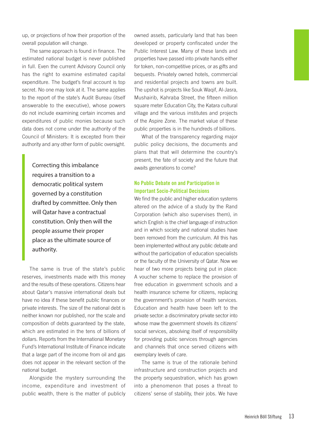up, or projections of how their proportion of the overall population will change.

The same approach is found in finance. The estimated national budget is never published in full. Even the current Advisory Council only has the right to examine estimated capital expenditure. The budget's final account is top secret. No one may look at it. The same applies to the report of the state's Audit Bureau (itself answerable to the executive), whose powers do not include examining certain incomes and expenditures of public monies because such data does not come under the authority of the Council of Ministers: It is excepted from their authority and any other form of public oversight.

Correcting this imbalance requires a transition to a democratic political system governed by a constitution drafted by committee. Only then will Qatar have a contractual constitution. Only then will the people assume their proper place as the ultimate source of authority.

The same is true of the state's public reserves, investments made with this money and the results of these operations. Citizens hear about Qatar's massive international deals but have no idea if these benefit public finances or private interests. The size of the national debt is neither known nor published, nor the scale and composition of debts guaranteed by the state, which are estimated in the tens of billions of dollars. Reports from the International Monetary Fund's International Institute of Finance indicate that a large part of the income from oil and gas does not appear in the relevant section of the national budget.

Alongside the mystery surrounding the income, expenditure and investment of public wealth, there is the matter of publicly owned assets, particularly land that has been developed or property confiscated under the Public Interest Law. Many of these lands and properties have passed into private hands either for token, non-competitive prices, or as gifts and bequests. Privately owned hotels, commercial and residential projects and towns are built. The upshot is projects like Souk Waqif, Al-Jasra, Mushairib, Kahraba Street, the fifteen million square meter Education City, the Katara cultural village and the various institutes and projects of the Aspire Zone. The market value of these public properties is in the hundreds of billions.

What of the transparency regarding major public policy decisions, the documents and plans that that will determine the country's present, the fate of society and the future that awaits generations to come?

### No Public Debate on and Participation in Important Socio-Political Decisions

We find the public and higher education systems altered on the advice of a study by the Rand Corporation (which also supervises them), in which English is the chief language of instruction and in which society and national studies have been removed from the curriculum. All this has been implemented without any public debate and without the participation of education specialists or the faculty of the University of Qatar. Now we hear of two more projects being put in place: A voucher scheme to replace the provision of free education in government schools and a health insurance scheme for citizens, replacing the government's provision of health services. Education and health have been left to the private sector: a discriminatory private sector into whose maw the government shovels its citizens' social services, absolving itself of responsibility for providing public services through agencies and channels that once served citizens with exemplary levels of care.

The same is true of the rationale behind infrastructure and construction projects and the property sequestration, which has grown into a phenomenon that poses a threat to citizens' sense of stability, their jobs. We have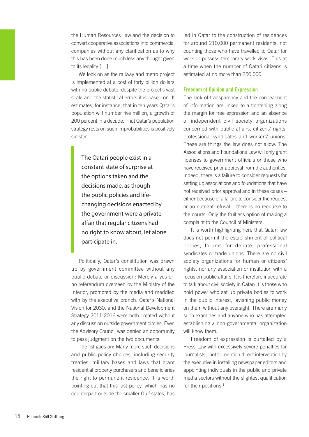the Human Resources Law and the decision to convert cooperative associations into commercial companies without any clarification as to why this has been done much less any thought given to its legality […]

We look on as the railway and metro project is implemented at a cost of forty billion dollars with no public debate, despite the project's vast scale and the statistical errors it is based on. It estimates, for instance, that in ten years Qatar's population will number five million, a growth of 200 percent in a decade. That Qatar's population strategy rests on such improbabilities is positively sinister.

The Qatari people exist in a constant state of surprise at the options taken and the decisions made, as though the public policies and lifechanging decisions enacted by the government were a private affair that regular citizens had no right to know about, let alone participate in.

Politically, Qatar's constitution was drawn up by government committee without any public debate or discussion: Merely a yes-orno referendum overseen by the Ministry of the Interior, promoted by the media and meddled with by the executive branch. Qatar's National Vision for 2030, and the National Development Strategy 2011-2016 were both created without any discussion outside government circles. Even the Advisory Council was denied an opportunity to pass judgment on the two documents.

The list goes on: Many more such decisions and public policy choices, including security treaties, military bases and laws that grant residential property purchasers and beneficiaries the right to permanent residence. It is worth pointing out that this last policy, which has no counterpart outside the smaller Gulf states, has

led in Qatar to the construction of residences for around 210,000 permanent residents, not counting those who have travelled to Qatar for work or possess temporary work visas. This at a time when the number of Qatari citizens is estimated at no more than 250,000.

### Freedom of Opinion and Expression

The lack of transparency and the concealment of information are linked to a tightening along the margin for free expression and an absence of independent civil society organizations concerned with public affairs, citizens' rights, professional syndicates and workers' unions. These are things the law does not allow. The Associations and Foundations Law will only grant licenses to government officials or those who have received prior approval from the authorities. Indeed, there is a failure to consider requests for setting up associations and foundations that have not received prior approval and in these cases – either because of a failure to consider the request or an outright refusal – there is no recourse to the courts: Only the fruitless option of making a complaint to the Council of Ministers.

It is worth highlighting here that Qatari law does not permit the establishment of political bodies, forums for debate, professional syndicates or trade unions. There are no civil society organizations for human or citizens' rights, nor any association or institution with a focus on public affairs. It is therefore inaccurate to talk about civil society in Qatar: It is those who hold power who set up private bodies to work in the public interest, lavishing public money on them without any oversight. There are many such examples and anyone who has attempted establishing a non-governmental organization will know them.

Freedom of expression is curtailed by a Press Law with excessively severe penalties for journalists, not to mention direct intervention by the executive in installing newspaper editors and appointing individuals in the public and private media sectors without the slightest qualification for their positions.<sup>1</sup>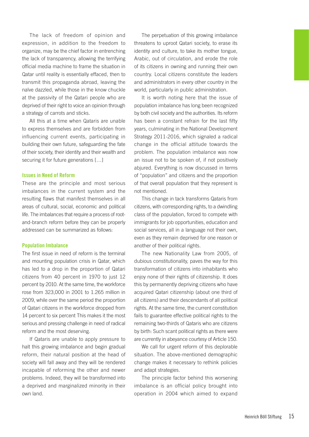The lack of freedom of opinion and expression, in addition to the freedom to organize, may be the chief factor in entrenching the lack of transparency, allowing the terrifying official media machine to frame the situation in Qatar until reality is essentially effaced, then to transmit this propaganda abroad, leaving the naïve dazzled, while those in the know chuckle at the passivity of the Qatari people who are deprived of their right to voice an opinion through a strategy of carrots and sticks.

All this at a time when Qataris are unable to express themselves and are forbidden from influencing current events, participating in building their own future, safeguarding the fate of their society, their identity and their wealth and securing it for future generations […]

### Issues in Need of Reform

These are the principle and most serious imbalances in the current system and the resulting flaws that manifest themselves in all areas of cultural, social, economic and political life. The imbalances that require a process of rootand-branch reform before they can be properly addressed can be summarized as follows:

### Population Imbalance

The first issue in need of reform is the terminal and mounting population crisis in Qatar, which has led to a drop in the proportion of Qatari citizens from 40 percent in 1970 to just 12 percent by 2010. At the same time, the workforce rose from 323,000 in 2001 to 1.265 million in 2009, while over the same period the proportion of Qatari citizens in the workforce dropped from 14 percent to six percent This makes it the most serious and pressing challenge in need of radical reform and the most deserving.

If Qataris are unable to apply pressure to halt this growing imbalance and begin gradual reform, their natural position at the head of society will fall away and they will be rendered incapable of reforming the other and newer problems. Indeed, they will be transformed into a deprived and marginalized minority in their own land.

The perpetuation of this growing imbalance threatens to uproot Qatari society, to erase its identity and culture, to take its mother tongue, Arabic, out of circulation, and erode the role of its citizens in owning and running their own country. Local citizens constitute the leaders and administrators in every other country in the world, particularly in public administration.

It is worth noting here that the issue of population imbalance has long been recognized by both civil society and the authorities. Its reform has been a constant refrain for the last fifty years, culminating in the National Development Strategy 2011-2016, which signaled a radical change in the official attitude towards the problem. The population imbalance was now an issue not to be spoken of, if not positively abjured. Everything is now discussed in terms of "population" and citizens and the proportion of that overall population that they represent is not mentioned.

This change in tack transforms Qataris from citizens, with corresponding rights, to a dwindling class of the population, forced to compete with immigrants for job opportunities, education and social services, all in a language not their own, even as they remain deprived for one reason or another of their political rights.

The new Nationality Law from 2005, of dubious constitutionality, paves the way for this transformation of citizens into inhabitants who enjoy none of their rights of citizenship. It does this by permanently depriving citizens who have acquired Qatari citizenship (about one third of all citizens) and their descendants of all political rights. At the same time, the current constitution fails to guarantee effective political rights to the remaining two-thirds of Qataris who are citizens by birth: Such scant political rights as there were are currently in abeyance courtesy of Article 150.

We call for urgent reform of this deplorable situation. The above-mentioned demographic change makes it necessary to rethink policies and adapt strategies.

The principle factor behind this worsening imbalance is an official policy brought into operation in 2004 which aimed to expand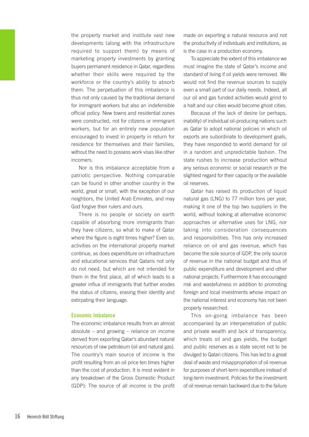the property market and institute vast new developments (along with the infrastructure required to support them) by means of marketing property investments by granting buyers permanent residence in Qatar, regardless whether their skills were required by the workforce or the country's ability to absorb them. The perpetuation of this imbalance is thus not only caused by the traditional demand for immigrant workers but also an indefensible official policy. New towns and residential zones were constructed, not for citizens or immigrant workers, but for an entirely new population encouraged to invest in property in return for residence for themselves and their families, without the need to possess work visas like other incomers.

Nor is this imbalance acceptable from a patriotic perspective. Nothing comparable can be found in other another country in the world, great or small, with the exception of our neighbors, the United Arab Emirates, and may God forgive their rulers and ours.

There is no people or society on earth capable of absorbing more immigrants than they have citizens, so what to make of Qatar where the figure is eight times higher? Even so, activities on the international property market continue, as does expenditure on infrastructure and educational services that Qataris not only do not need, but which are not intended for them in the first place, all of which leads to a greater influx of immigrants that further erodes the status of citizens, erasing their identity and extirpating their language.

### Economic Imbalance

The economic imbalance results from an almost absolute – and growing – reliance on income derived from exporting Qatar's abundant natural resources of raw petroleum (oil and natural gas). The country's main source of income is the profit resulting from an oil price ten times higher than the cost of production. It is most evident in any breakdown of the Gross Domestic Product (GDP): The source of all income is the profit

made on exporting a natural resource and not the productivity of individuals and institutions, as is the case in a production economy.

To appreciate the extent of this imbalance we must imagine the state of Qatar's income and standard of living if oil yields were removed. We would not find the revenue sources to supply even a small part of our daily needs. Indeed, all our oil and gas funded activities would grind to a halt and our cities would become ghost cities.

Because of the lack of desire (or perhaps, inability) of individual oil-producing nations such as Qatar to adopt national policies in which oil exports are subordinate to development goals, they have responded to world demand for oil in a random and unpredictable fashion. The state rushes to increase production without any serious economic or social research or the slightest regard for their capacity or the available oil reserves.

Qatar has raised its production of liquid natural gas (LNG) to 77 million tons per year, making it one of the top two suppliers in the world, without looking at alternative economic approaches or alternative uses for LNG, nor taking into consideration consequences and responsibilities. This has only increased reliance on oil and gas revenue, which has become the sole source of GDP, the only source of revenue in the national budget and thus of public expenditure and development and other national projects. Furthermore it has encouraged risk and wastefulness in addition to promoting foreign and local investments whose impact on the national interest and economy has not been properly researched.

This on-going imbalance has been accompanied by an interpenetration of public and private wealth and lack of transparency, which treats oil and gas yields, the budget and public reserves as a state secret not to be divulged to Qatari citizens. This has led to a great deal of waste and misappropriation of oil revenue for purposes of short-term expenditure instead of long-term investment. Policies for the investment of oil revenue remain backward due to the failure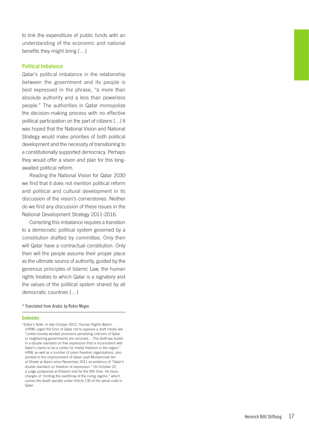to link the expenditure of public funds with an understanding of the economic and national benefits they might bring […]

### Political Imbalance

Qatar's political imbalance in the relationship between the government and its people is best expressed in the phrase, "a more than absolute authority and a less than powerless people." The authorities in Qatar monopolize the decision-making process with no effective political participation on the part of citizens […] It was hoped that the National Vision and National Strategy would make priorities of both political development and the necessity of transitioning to a constitutionally supported democracy. Perhaps they would offer a vision and plan for this longawaited political reform.

Reading the National Vision for Qatar 2030 we find that it does not mention political reform and political and cultural development in its discussion of the vision's cornerstones. Neither do we find any discussion of these issues in the National Development Strategy 2011-2016.

Correcting this imbalance requires a transition to a democratic political system governed by a constitution drafted by committee. Only then will Qatar have a contractual constitution. Only then will the people assume their proper place as the ultimate source of authority, guided by the generous principles of Islamic Law, the human rights treaties to which Qatar is a signatory and the values of the political system shared by all democratic countries […]

\* Translated from Arabic by Robin Moger.

#### **Endnotes**

<sup>1</sup>Editor's Note: In late October 2012, Human Rights Watch (HRW) urged the Emir of Qatar not to approve a draft media law "unless loosely worded provisions penalizing criticism of Qatar or neighboring governments are removed… The draft law builds in a double standard on free expression that is inconsistent with Qatar's claims to be a center for media freedom in the region." HRW, as well as a number of press freedom organizations, also pointed to the imprisonment of Qatari poet Muhammad Ibn al-Dheeb al-Ajami since November 2011 as evidence of "Qatar's double standard on freedom of expression." On October 22, a judge postponed al-Dheeb's trial for the fifth time. He faces charges of "inciting the overthrow of the ruling regime," which carries the death penalty under Article 130 of the penal code in Qatar.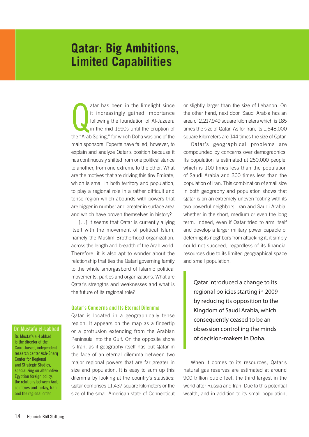### **Qatar: Big Ambitions, Limited Capabilities**

atar has been in the limelight since<br>it increasingly gained importance<br>following the foundation of Al-Jazeera<br>in the mid 1990s until the eruption of<br>the "Arab Spring," for which Doha was one of the atar has been in the limelight since it increasingly gained importance following the foundation of Al-Jazeera in the mid 1990s until the eruption of main sponsors. Experts have failed, however, to explain and analyze Qatar's position because it has continuously shifted from one political stance to another, from one extreme to the other. What are the motives that are driving this tiny Emirate, which is small in both territory and population, to play a regional role in a rather difficult and tense region which abounds with powers that are bigger in number and greater in surface area and which have proven themselves in history?

[...] It seems that Qatar is currently allying itself with the movement of political Islam, namely the Muslim Brotherhood organization, across the length and breadth of the Arab world. Therefore, it is also apt to wonder about the relationship that ties the Qatari governing family to the whole smorgasbord of Islamic political movements, parties and organizations. What are Qatar's strengths and weaknesses and what is the future of its regional role?

### Qatar's Concerns and Its Eternal Dilemma

Qatar is located in a geographically tense region. It appears on the map as a fingertip or a protrusion extending from the Arabian Peninsula into the Gulf. On the opposite shore is Iran, as if geography itself has put Qatar in the face of an eternal dilemma between two major regional powers that are far greater in size and population. It is easy to sum up this dilemma by looking at the country's statistics: Qatar comprises 11,437 square kilometers or the size of the small American state of Connecticut

or slightly larger than the size of Lebanon. On the other hand, next door, Saudi Arabia has an area of 2,217,949 square kilometers which is 185 times the size of Qatar. As for Iran, its 1,648,000 square kilometers are 144 times the size of Qatar.

Qatar's geographical problems are compounded by concerns over demographics. Its population is estimated at 250,000 people, which is 100 times less than the population of Saudi Arabia and 300 times less than the population of Iran. This combination of small size in both geography and population shows that Qatar is on an extremely uneven footing with its two powerful neighbors, Iran and Saudi Arabia, whether in the short, medium or even the long term. Indeed, even if Qatar tried to arm itself and develop a larger military power capable of deterring its neighbors from attacking it, it simply could not succeed, regardless of its financial resources due to its limited geographical space and small population.

Qatar introduced a change to its regional policies starting in 2009 by reducing its opposition to the Kingdom of Saudi Arabia, which consequently ceased to be an obsession controlling the minds of decision-makers in Doha.

When it comes to its resources, Qatar's natural gas reserves are estimated at around 900 trillion cubic feet, the third largest in the world after Russia and Iran. Due to this potential wealth, and in addition to its small population,

### Dr. Mustafa el-Labbad

Dr. Mustafa el-Labbad is the director of the Cairo-based, independent research center Ash-Sharq Center for Regional and Strategic Studies, specializing on alternative Egyptian foreign policy, the relations between Arab countries and Turkey, Iran and the regional order.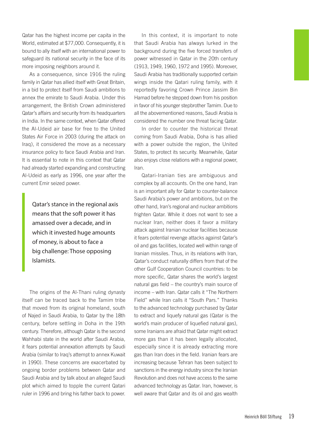Qatar has the highest income per capita in the World, estimated at \$77,000. Consequently, it is bound to ally itself with an international power to safeguard its national security in the face of its more imposing neighbors around it.

As a consequence, since 1916 the ruling family in Qatar has allied itself with Great Britain, in a bid to protect itself from Saudi ambitions to annex the emirate to Saudi Arabia. Under this arrangement, the British Crown administered Qatar's affairs and security from its headquarters in India. In the same context, when Qatar offered the Al-Udeid air base for free to the United States Air Force in 2003 (during the attack on Iraq), it considered the move as a necessary insurance policy to face Saudi Arabia and Iran. It is essential to note in this context that Qatar had already started expanding and constructing Al-Udeid as early as 1996, one year after the current Emir seized power.

Qatar's stance in the regional axis means that the soft power it has amassed over a decade, and in which it invested huge amounts of money, is about to face a big challenge: Those opposing Islamists.

The origins of the Al-Thani ruling dynasty itself can be traced back to the Tamim tribe that moved from its original homeland, south of Najed in Saudi Arabia, to Qatar by the 18th century, before settling in Doha in the 19th century. Therefore, although Qatar is the second Wahhabi state in the world after Saudi Arabia, it fears potential annexation attempts by Saudi Arabia (similar to Iraq's attempt to annex Kuwait in 1990). These concerns are exacerbated by ongoing border problems between Qatar and Saudi Arabia and by talk about an alleged Saudi plot which aimed to topple the current Qatari ruler in 1996 and bring his father back to power.

In this context, it is important to note that Saudi Arabia has always lurked in the background during the five forced transfers of power witnessed in Qatar in the 20th century (1913, 1949, 1960, 1972 and 1995). Moreover, Saudi Arabia has traditionally supported certain wings inside the Qatari ruling family, with it reportedly favoring Crown Prince Jassim Bin Hamad before he stepped down from his position in favor of his younger stepbrother Tamim. Due to all the abovementioned reasons, Saudi Arabia is considered the number one threat facing Qatar.

In order to counter the historical threat coming from Saudi Arabia, Doha is has allied with a power outside the region, the United States, to protect its security. Meanwhile, Qatar also enjoys close relations with a regional power, Iran.

Qatari-Iranian ties are ambiguous and complex by all accounts. On the one hand, Iran is an important ally for Qatar to counter-balance Saudi Arabia's power and ambitions, but on the other hand, Iran's regional and nuclear ambitions frighten Qatar. While it does not want to see a nuclear Iran, neither does it favor a military attack against Iranian nuclear facilities because it fears potential revenge attacks against Qatar's oil and gas facilities, located well within range of Iranian missiles. Thus, in its relations with Iran, Qatar's conduct naturally differs from that of the other Gulf Cooperation Council countries: to be more specific, Qatar shares the world's largest natural gas field – the country's main source of income – with Iran. Qatar calls it "The Northern Field" while Iran calls it "South Pars." Thanks to the advanced technology purchased by Qatar to extract and liquefy natural gas (Qatar is the world's main producer of liquefied natural gas), some Iranians are afraid that Qatar might extract more gas than it has been legally allocated, especially since it is already extracting more gas than Iran does in the field. Iranian fears are increasing because Tehran has been subject to sanctions in the energy industry since the Iranian Revolution and does not have access to the same advanced technology as Qatar. Iran, however, is well aware that Qatar and its oil and gas wealth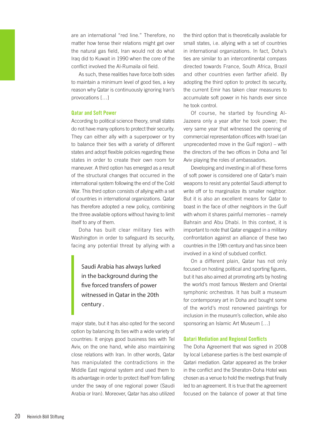are an international "red line." Therefore, no matter how tense their relations might get over the natural gas field, Iran would not do what Iraq did to Kuwait in 1990 when the core of the conflict involved the Al-Rumaila oil field.

As such, these realities have force both sides to maintain a minimum level of good ties, a key reason why Qatar is continuously ignoring Iran's provocations […]

### Qatar and Soft Power

According to political science theory, small states do not have many options to protect their security. They can either ally with a superpower or try to balance their ties with a variety of different states and adopt flexible policies regarding these states in order to create their own room for maneuver. A third option has emerged as a result of the structural changes that occurred in the international system following the end of the Cold War. This third option consists of allying with a set of countries in international organizations. Qatar has therefore adopted a new policy, combining the three available options without having to limit itself to any of them.

Doha has built clear military ties with Washington in order to safeguard its security, facing any potential threat by allying with a

Saudi Arabia has always lurked in the background during the five forced transfers of power witnessed in Qatar in the 20th century .

major state, but it has also opted for the second option by balancing its ties with a wide variety of countries: It enjoys good business ties with Tel Aviv, on the one hand, while also maintaining close relations with Iran. In other words, Qatar has manipulated the contradictions in the Middle East regional system and used them to its advantage in order to protect itself from falling under the sway of one regional power (Saudi Arabia or Iran). Moreover, Qatar has also utilized

the third option that is theoretically available for small states, i.e. allying with a set of countries in international organizations. In fact, Doha's ties are similar to an intercontinental compass directed towards France, South Africa, Brazil and other countries even farther afield. By adopting the third option to protect its security, the current Emir has taken clear measures to accumulate soft power in his hands ever since he took control.

Of course, he started by founding Al-Jazeera only a year after he took power; the very same year that witnessed the opening of commercial representation offices with Israel (an unprecedented move in the Gulf region) – with the directors of the two offices in Doha and Tel Aviv playing the roles of ambassadors.

Developing and investing in all of these forms of soft power is considered one of Qatar's main weapons to resist any potential Saudi attempt to write off or to marginalize its smaller neighbor. But it is also an excellent means for Qatar to boast in the face of other neighbors in the Gulf with whom it shares painful memories – namely Bahrain and Abu Dhabi. In this context, it is important to note that Qatar engaged in a military confrontation against an alliance of these two countries in the 19th century and has since been involved in a kind of subdued conflict.

On a different plain, Qatar has not only focused on hosting political and sporting figures, but it has also aimed at promoting arts by hosting the world's most famous Western and Oriental symphonic orchestras. It has built a museum for contemporary art in Doha and bought some of the world's most renowned paintings for inclusion in the museum's collection, while also sponsoring an Islamic Art Museum […]

### Qatari Mediation and Regional Conflicts

The Doha Agreement that was signed in 2008 by local Lebanese parties is the best example of Qatari mediation. Qatar appeared as the broker in the conflict and the Sheraton-Doha Hotel was chosen as a venue to hold the meetings that finally led to an agreement. It is true that the agreement focused on the balance of power at that time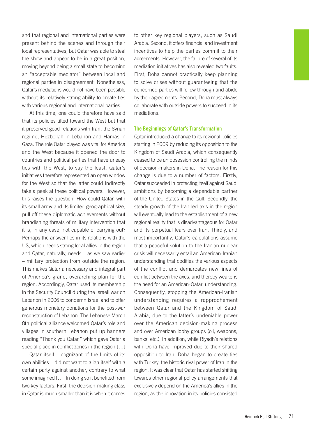and that regional and international parties were present behind the scenes and through their local representatives, but Qatar was able to steal the show and appear to be in a great position, moving beyond being a small state to becoming an "acceptable mediator" between local and regional parties in disagreement. Nonetheless, Qatar's mediations would not have been possible without its relatively strong ability to create ties with various regional and international parties.

At this time, one could therefore have said that its policies tilted toward the West but that it preserved good relations with Iran, the Syrian regime, Hezbollah in Lebanon and Hamas in Gaza. The role Qatar played was vital for America and the West because it opened the door to countries and political parties that have uneasy ties with the West, to say the least. Qatar's initiatives therefore represented an open window for the West so that the latter could indirectly take a peek at these political powers. However, this raises the question: How could Qatar, with its small army and its limited geographical size, pull off these diplomatic achievements without brandishing threats of military intervention that it is, in any case, not capable of carrying out? Perhaps the answer lies in its relations with the US, which needs strong local allies in the region and Qatar, naturally, needs – as we saw earlier – military protection from outside the region. This makes Qatar a necessary and integral part of America's grand, overarching plan for the region. Accordingly, Qatar used its membership in the Security Council during the Israeli war on Lebanon in 2006 to condemn Israel and to offer generous monetary donations for the post-war reconstruction of Lebanon. The Lebanese March 8th political alliance welcomed Qatar's role and villages in southern Lebanon put up banners reading "Thank you Qatar," which gave Qatar a special place in conflict zones in the region […]

Qatar itself – cognizant of the limits of its own abilities – did not want to align itself with a certain party against another, contrary to what some imagined […] In doing so it benefited from two key factors. First, the decision-making class in Qatar is much smaller than it is when it comes to other key regional players, such as Saudi Arabia. Second, it offers financial and investment incentives to help the parties commit to their agreements. However, the failure of several of its mediation initiatives has also revealed two faults. First, Doha cannot practically keep planning to solve crises without guaranteeing that the concerned parties will follow through and abide by their agreements. Second, Doha must always collaborate with outside powers to succeed in its mediations.

### The Beginnings of Qatar's Transformation

Qatar introduced a change to its regional policies starting in 2009 by reducing its opposition to the Kingdom of Saudi Arabia, which consequently ceased to be an obsession controlling the minds of decision-makers in Doha. The reason for this change is due to a number of factors. Firstly, Qatar succeeded in protecting itself against Saudi ambitions by becoming a dependable partner of the United States in the Gulf. Secondly, the steady growth of the Iran-led axis in the region will eventually lead to the establishment of a new regional reality that is disadvantageous for Qatar and its perpetual fears over Iran. Thirdly, and most importantly, Qatar's calculations assume that a peaceful solution to the Iranian nuclear crisis will necessarily entail an American-Iranian understanding that codifies the various aspects of the conflict and demarcates new lines of conflict between the axes, and thereby weakens the need for an American-Qatari understanding. Consequently, stopping the American-Iranian understanding requires a rapprochement between Qatar and the Kingdom of Saudi Arabia, due to the latter's undeniable power over the American decision-making process and over American lobby groups (oil, weapons, banks, etc.). In addition, while Riyadh's relations with Doha have improved due to their shared opposition to Iran, Doha began to create ties with Turkey, the historic rival power of Iran in the region. It was clear that Qatar has started shifting towards other regional policy arrangements that exclusively depend on the America's allies in the region, as the innovation in its policies consisted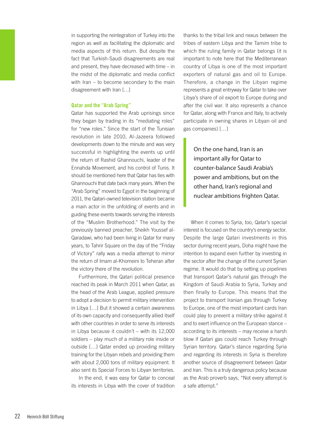in supporting the reintegration of Turkey into the region as well as facilitating the diplomatic and media aspects of this return. But despite the fact that Turkish-Saudi disagreements are real and present, they have decreased with time – in the midst of the diplomatic and media conflict with Iran – to become secondary to the main disagreement with Iran […]

### Qatar and the "Arab Spring"

Qatar has supported the Arab uprisings since they began by trading in its "mediating roles" for "new roles." Since the start of the Tunisian revolution in late 2010, Al-Jazeera followed developments down to the minute and was very successful in highlighting the events up until the return of Rashid Ghannouchi, leader of the Ennahda Movement, and his control of Tunis. It should be mentioned here that Qatar has ties with Ghannouchi that date back many years. When the "Arab Spring" moved to Egypt in the beginning of 2011, the Qatari-owned television station became a main actor in the unfolding of events and in guiding these events towards serving the interests of the "Muslim Brotherhood." The visit by the previously banned preacher, Sheikh Youssef al-Qaradawi, who had been living in Qatar for many years, to Tahrir Square on the day of the "Friday of Victory" rally was a media attempt to mirror the return of Imam al-Khomeini to Teheran after the victory there of the revolution.

Furthermore, the Qatari political presence reached its peak in March 2011 when Qatar, as the head of the Arab League, applied pressure to adopt a decision to permit military intervention in Libya […] But it showed a certain awareness of its own capacity and consequently allied itself with other countries in order to serve its interests in Libya because it couldn't – with its 12,000 soldiers – play much of a military role inside or outside […] Qatar ended up providing military training for the Libyan rebels and providing them with about 2,000 tons of military equipment. It also sent its Special Forces to Libyan territories.

In the end, it was easy for Qatar to conceal its interests in Libya with the cover of tradition

thanks to the tribal link and nexus between the tribes of eastern Libya and the Tamim tribe to which the ruling family in Qatar belongs (it is important to note here that the Mediterranean country of Libya is one of the most important exporters of natural gas and oil to Europe. Therefore, a change in the Libyan regime represents a great entryway for Qatar to take over Libya's share of oil export to Europe during and after the civil war. It also represents a chance for Qatar, along with France and Italy, to actively participate in owning shares in Libyan oil and gas companies) […]

On the one hand, Iran is an important ally for Qatar to counter-balance Saudi Arabia's power and ambitions, but on the other hand, Iran's regional and nuclear ambitions frighten Qatar.

When it comes to Syria, too, Qatar's special interest is focused on the country's energy sector. Despite the large Qatari investments in this sector during recent years, Doha might have the intention to expand even further by investing in the sector after the change of the current Syrian regime. It would do that by setting up pipelines that transport Qatar's natural gas through the Kingdom of Saudi Arabia to Syria, Turkey and then finally to Europe. This means that the project to transport Iranian gas through Turkey to Europe, one of the most important cards Iran could play to prevent a military strike against it and to exert influence on the European stance – according to its interests – may receive a harsh blow if Qatari gas could reach Turkey through Syrian territory. Qatar's stance regarding Syria and regarding its interests in Syria is therefore another source of disagreement between Qatar and Iran. This is a truly dangerous policy because as the Arab proverb says, "Not every attempt is a safe attempt."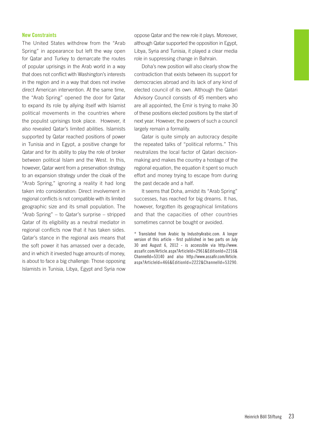### New Constraints

The United States withdrew from the "Arab Spring" in appearance but left the way open for Qatar and Turkey to demarcate the routes of popular uprisings in the Arab world in a way that does not conflict with Washington's interests in the region and in a way that does not involve direct American intervention. At the same time, the "Arab Spring" opened the door for Qatar to expand its role by allying itself with Islamist political movements in the countries where the populist uprisings took place. However, it also revealed Qatar's limited abilities. Islamists supported by Qatar reached positions of power in Tunisia and in Egypt, a positive change for Qatar and for its ability to play the role of broker between political Islam and the West. In this, however, Qatar went from a preservation strategy to an expansion strategy under the cloak of the "Arab Spring," ignoring a reality it had long taken into consideration: Direct involvement in regional conflicts is not compatible with its limited geographic size and its small population. The "Arab Spring" – to Qatar's surprise – stripped Qatar of its eligibility as a neutral mediator in regional conflicts now that it has taken sides. Qatar's stance in the regional axis means that the soft power it has amassed over a decade, and in which it invested huge amounts of money, is about to face a big challenge: Those opposing Islamists in Tunisia, Libya, Egypt and Syria now

oppose Qatar and the new role it plays. Moreover, although Qatar supported the opposition in Egypt, Libya, Syria and Tunisia, it played a clear media role in suppressing change in Bahrain.

Doha's new position will also clearly show the contradiction that exists between its support for democracies abroad and its lack of any kind of elected council of its own. Although the Qatari Advisory Council consists of 45 members who are all appointed, the Emir is trying to make 30 of these positions elected positions by the start of next year. However, the powers of such a council largely remain a formality.

Qatar is quite simply an autocracy despite the repeated talks of "political reforms." This neutralizes the local factor of Qatari decisionmaking and makes the country a hostage of the regional equation, the equation it spent so much effort and money trying to escape from during the past decade and a half.

It seems that Doha, amidst its "Arab Spring" successes, has reached for big dreams. It has, however, forgotten its geographical limitations and that the capacities of other countries sometimes cannot be bought or avoided.

<sup>\*</sup> Translated from Arabic by IndustryArabic.com. A longer version of this article - first published in two parts on July 30 and August 6, 2012 - is accessible via http://www. assafir.com/Article.aspx?ArticleId=2961&EditionId=2216& ChannelId=53140 and also http://www.assafir.com/Article. aspx?ArticleId=466&EditionId=2222&ChannelId=53290.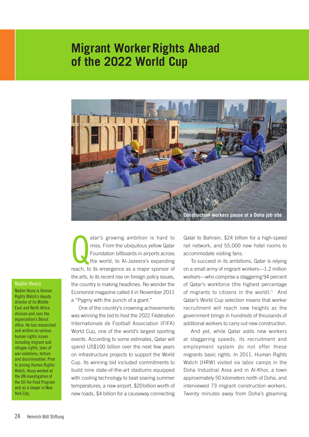### **Migrant Worker Rights Ahead of the 2022 World Cup**



Nadim Houry

Nadim Houry is Human Rights Watch's deputy director of its Middle East and North Africa division and runs the organization's Beirut office. He has researched and written on various human rights issues including migrant and refugee rights, laws of war violations, torture and discrimination. Prior to joining Human Rights Watch, Houry worked at the UN investigation of the Oil-for-Food Program and as a lawyer in New York City.

atar's growing ambition is hard to<br>miss. From the ubiquitous yellow Qatar<br>Foundation billboards in airports across<br>the world, to Al-Jazeera's expanding<br>reach, to its emergence as a major sponsor of atar's growing ambition is hard to miss. From the ubiquitous yellow Qatar Foundation billboards in airports across the world, to Al-Jazeera's expanding the arts, to its recent rise on foreign policy issues, the country is making headlines. No wonder the Economist magazine called it in November 2011 a "Pygmy with the punch of a giant."

One of the country's crowning achievements was winning the bid to host the 2022 Fédération Internationale de Football Association (FIFA) World Cup, one of the world's largest sporting events. According to some estimates, Qatar will spend US\$100 billion over the next few years on infrastructure projects to support the World Cup. Its winning bid included commitments to build nine state-of-the-art stadiums equipped with cooling technology to beat soaring summer temperatures, a new airport, \$20billion worth of new roads, \$4 billion for a causeway connecting

Qatar to Bahrain, \$24 billion for a high-speed rail network, and 55,000 new hotel rooms to accommodate visiting fans.

To succeed in its ambitions, Qatar is relying on a small army of migrant workers—1.2 million workers—who comprise a staggering 94 percent of Qatar's workforce (the highest percentage of migrants to citizens in the world). $1$  And Qatar's World Cup selection means that worker recruitment will reach new heights as the government brings in hundreds of thousands of additional workers to carry out new construction.

And yet, while Qatar adds new workers at staggering speeds, its recruitment and employment system do not offer these migrants basic rights. In 2011, Human Rights Watch (HRW) visited six labor camps in the Doha Industrial Area and in Al-Khor, a town approximately 50 kilometers north of Doha, and interviewed 73 migrant construction workers. Twenty minutes away from Doha's gleaming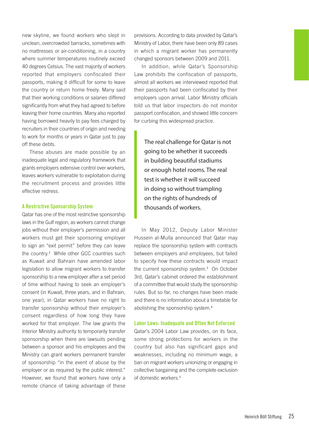new skyline, we found workers who slept in unclean, overcrowded barracks, sometimes with no mattresses or air-conditioning, in a country where summer temperatures routinely exceed 40 degrees Celsius. The vast majority of workers reported that employers confiscated their passports, making it difficult for some to leave the country or return home freely. Many said that their working conditions or salaries differed significantly from what they had agreed to before leaving their home countries. Many also reported having borrowed heavily to pay fees charged by recruiters in their countries of origin and needing to work for months or years in Qatar just to pay off these debts.

These abuses are made possible by an inadequate legal and regulatory framework that grants employers extensive control over workers, leaves workers vulnerable to exploitation during the recruitment process and provides little effective redress.

### A Restrictive Sponsorship System

Qatar has one of the most restrictive sponsorship laws in the Gulf region, as workers cannot change jobs without their employer's permission and all workers must get their sponsoring employer to sign an "exit permit" before they can leave the country.<sup>2</sup> While other GCC countries such as Kuwait and Bahrain have amended labor legislation to allow migrant workers to transfer sponsorship to a new employer after a set period of time without having to seek an employer's consent (in Kuwait, three years, and in Bahrain, one year), in Qatar workers have no right to transfer sponsorship without their employer's consent regardless of how long they have worked for that employer. The law grants the Interior Ministry authority to temporarily transfer sponsorship when there are lawsuits pending between a sponsor and his employees and the Ministry can grant workers permanent transfer of sponsorship "in the event of abuse by the employer or as required by the public interest." However, we found that workers have only a remote chance of taking advantage of these

provisions. According to data provided by Qatar's Ministry of Labor, there have been only 89 cases in which a migrant worker has permanently changed sponsors between 2009 and 2011.

In addition, while Qatar's Sponsorship Law prohibits the confiscation of passports, almost all workers we interviewed reported that their passports had been confiscated by their employers upon arrival. Labor Ministry officials told us that labor inspectors do not monitor passport confiscation, and showed little concern for curbing this widespread practice.

The real challenge for Qatar is not going to be whether it succeeds in building beautiful stadiums or enough hotel rooms. The real test is whether it will succeed in doing so without trampling on the rights of hundreds of thousands of workers.

In May 2012, Deputy Labor Minister Hussein al-Mulla announced that Qatar may replace the sponsorship system with contracts between employers and employees, but failed to specify how these contracts would impact the current sponsorship system.<sup>3</sup> On October 3rd, Qatar's cabinet ordered the establishment of a committee that would study the sponsorship rules. But so far, no changes have been made and there is no information about a timetable for abolishing the sponsorship system.<sup>4</sup>

#### Labor Laws: Inadequate and Often Not Enforced

Qatar's 2004 Labor Law provides, on its face, some strong protections for workers in the country but also has significant gaps and weaknesses, including no minimum wage, a ban on migrant workers unionizing or engaging in collective bargaining and the complete exclusion of domestic workers.<sup>5</sup>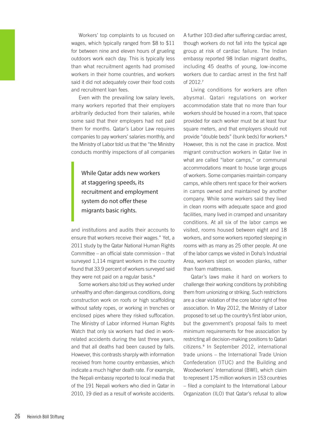Workers' top complaints to us focused on wages, which typically ranged from \$8 to \$11 for between nine and eleven hours of grueling outdoors work each day. This is typically less than what recruitment agents had promised workers in their home countries, and workers said it did not adequately cover their food costs and recruitment loan fees.

Even with the prevailing low salary levels, many workers reported that their employers arbitrarily deducted from their salaries, while some said that their employers had not paid them for months. Qatar's Labor Law requires companies to pay workers' salaries monthly, and the Ministry of Labor told us that the "the Ministry conducts monthly inspections of all companies

While Qatar adds new workers at staggering speeds, its recruitment and employment system do not offer these migrants basic rights.

and institutions and audits their accounts to ensure that workers receive their wages." Yet, a 2011 study by the Qatar National Human Rights Committee – an official state commission – that surveyed 1,114 migrant workers in the country found that 33.9 percent of workers surveyed said they were not paid on a regular basis.<sup>6</sup>

Some workers also told us they worked under unhealthy and often dangerous conditions, doing construction work on roofs or high scaffolding without safety ropes, or working in trenches or enclosed pipes where they risked suffocation. The Ministry of Labor informed Human Rights Watch that only six workers had died in workrelated accidents during the last three years, and that all deaths had been caused by falls. However, this contrasts sharply with information received from home country embassies, which indicate a much higher death rate. For example, the Nepali embassy reported to local media that of the 191 Nepali workers who died in Qatar in 2010, 19 died as a result of worksite accidents.

A further 103 died after suffering cardiac arrest, though workers do not fall into the typical age group at risk of cardiac failure. The Indian embassy reported 98 Indian migrant deaths, including 45 deaths of young, low-income workers due to cardiac arrest in the first half of 2012.<sup>7</sup>

Living conditions for workers are often abysmal. Qatari regulations on worker accommodation state that no more than four workers should be housed in a room, that space provided for each worker must be at least four square meters, and that employers should not provide "double beds" (bunk beds) for workers.<sup>8</sup> However, this is not the case in practice. Most migrant construction workers in Qatar live in what are called "labor camps," or communal accommodations meant to house large groups of workers. Some companies maintain company camps, while others rent space for their workers in camps owned and maintained by another company. While some workers said they lived in clean rooms with adequate space and good facilities, many lived in cramped and unsanitary conditions. At all six of the labor camps we visited, rooms housed between eight and 18 workers, and some workers reported sleeping in rooms with as many as 25 other people. At one of the labor camps we visited in Doha's Industrial Area, workers slept on wooden planks, rather than foam mattresses.

Qatar's laws make it hard on workers to challenge their working conditions by prohibiting them from unionizing or striking. Such restrictions are a clear violation of the core labor right of free association. In May 2012, the Ministry of Labor proposed to set up the country's first labor union, but the government's proposal fails to meet minimum requirements for free association by restricting all decision-making positions to Qatari citizens.<sup>9</sup> In September 2012, international trade unions – the International Trade Union Confederation (ITUC) and the Building and Woodworkers' International (BWI), which claim to represent 175 million workers in 153 countries – filed a complaint to the International Labour Organization (ILO) that Qatar's refusal to allow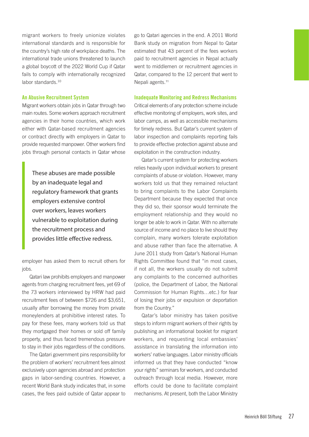migrant workers to freely unionize violates international standards and is responsible for the country's high rate of workplace deaths. The international trade unions threatened to launch a global boycott of the 2022 World Cup if Qatar fails to comply with internationally recognized labor standards.<sup>10</sup>

### An Abusive Recruitment System

Migrant workers obtain jobs in Qatar through two main routes. Some workers approach recruitment agencies in their home countries, which work either with Qatar-based recruitment agencies or contract directly with employers in Qatar to provide requested manpower. Other workers find jobs through personal contacts in Qatar whose

These abuses are made possible by an inadequate legal and regulatory framework that grants employers extensive control over workers, leaves workers vulnerable to exploitation during the recruitment process and provides little effective redress.

employer has asked them to recruit others for jobs.

Qatari law prohibits employers and manpower agents from charging recruitment fees, yet 69 of the 73 workers interviewed by HRW had paid recruitment fees of between \$726 and \$3,651, usually after borrowing the money from private moneylenders at prohibitive interest rates. To pay for these fees, many workers told us that they mortgaged their homes or sold off family property, and thus faced tremendous pressure to stay in their jobs regardless of the conditions.

The Qatari government pins responsibility for the problem of workers' recruitment fees almost exclusively upon agencies abroad and protection gaps in labor-sending countries. However, a recent World Bank study indicates that, in some cases, the fees paid outside of Qatar appear to

go to Qatari agencies in the end. A 2011 World Bank study on migration from Nepal to Qatar estimated that 43 percent of the fees workers paid to recruitment agencies in Nepal actually went to middlemen or recruitment agencies in Qatar, compared to the 12 percent that went to Nepali agents.<sup>11</sup>

### Inadequate Monitoring and Redress Mechanisms

Critical elements of any protection scheme include effective monitoring of employers, work sites, and labor camps, as well as accessible mechanisms for timely redress. But Qatar's current system of labor inspection and complaints reporting fails to provide effective protection against abuse and exploitation in the construction industry.

Qatar's current system for protecting workers relies heavily upon individual workers to present complaints of abuse or violation. However, many workers told us that they remained reluctant to bring complaints to the Labor Complaints Department because they expected that once they did so, their sponsor would terminate the employment relationship and they would no longer be able to work in Qatar. With no alternate source of income and no place to live should they complain, many workers tolerate exploitation and abuse rather than face the alternative. A June 2011 study from Qatar's National Human Rights Committee found that "in most cases, if not all, the workers usually do not submit any complaints to the concerned authorities (police, the Department of Labor, the National Commission for Human Rights…etc.) for fear of losing their jobs or expulsion or deportation from the Country."

Qatar's labor ministry has taken positive steps to inform migrant workers of their rights by publishing an informational booklet for migrant workers, and requesting local embassies' assistance in translating the information into workers' native languages. Labor ministry officials informed us that they have conducted "know your rights" seminars for workers, and conducted outreach through local media. However, more efforts could be done to facilitate complaint mechanisms. At present, both the Labor Ministry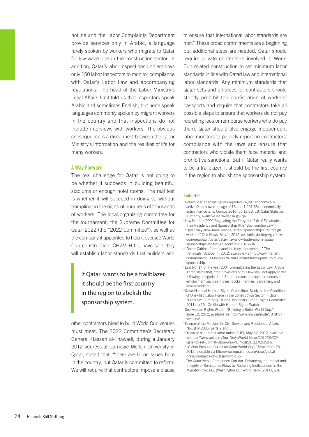hotline and the Labor Complaints Department provide services only in Arabic, a language rarely spoken by workers who migrate to Qatar for low-wage jobs in the construction sector. In addition, Qatar's labor inspections unit employs only 150 labor inspectors to monitor compliance with Qatar's Labor Law and accompanying regulations. The head of the Labor Ministry's Legal Affairs Unit told us that inspectors speak Arabic and sometimes English, but none speak languages commonly spoken by migrant workers in the country and that inspections do not include interviews with workers. The obvious consequence is a disconnect between the Labor Ministry's information and the realities of life for many workers.

### A Way Forward

The real challenge for Qatar is not going to be whether it succeeds in building beautiful stadiums or enough hotel rooms. The real test is whether it will succeed in doing so without trampling on the rights of hundreds of thousands of workers. The local organizing committee for the tournament, the Supreme Committee for Qatar 2022 (the "2022 Committee"), as well as the company it appointed to help it oversee World Cup construction, CH2M HILL, have said they will establish labor standards that builders and

If Qatar wants to be a trailblazer, it should be the first country in the region to abolish the sponsorship system.

other contractors hired to build World Cup venues must meet. The 2022 Committee's Secretary General Hassan al-Thawadi, during a January 2012 address at Carnegie Mellon University in Qatar, stated that, "there are labor issues here in the country, but Qatar is committed to reform. We will require that contractors impose a clause

to ensure that international labor standards are met." These broad commitments are a beginning but additional steps are needed. Qatar should require private contractors involved in World Cup-related construction to set minimum labor standards in line with Qatari law and international labor standards. Any minimum standards that Qatar sets and enforces for contractors should strictly prohibit the confiscation of workers' passports and require that contractors take all possible steps to ensure that workers do not pay recruiting fees or reimburse workers who do pay them. Qatar should also engage independent labor monitors to publicly report on contractors' compliance with the laws and ensure that contractors who violate them face material and prohibitive sanctions. But if Qatar really wants to be a trailblazer, it should be the first country in the region to abolish the sponsorship system.

#### Endnotes

- <sup>1</sup>Qatar's 2010 census figures reported 74,087 economically active Qataris over the age of 15 and 1,201,884 economically active non-Qataris. Census 2010, pp.12-13, 19, Qatar Statistics Authority, available via www.qsa.gov.qa
- <sup>2</sup>Law No. 4 of 2009 Regulating the Entry and Exit of Expatriates, their Residency and Sponsorship (the "Sponsorship Law").
- <sup>3</sup> "Qatar may allow trade unions, scrap 'sponsorships' for foreign workers," Gulf News, May 1, 2012, available via http://gulfnews. com/news/gulf/qatar/qatar-may-allow-trade-unions-scrapsponsorships-for-foreign-workers-1.1016594.
- <sup>4</sup>"Qatar: Cabinet forms panel to study sponsorship," The Peninsula, October 4, 2012, available via http://www.menafn. com/menafn/1093565993/Qatar-Cabinet-forms-panel-to-studysponsorship.
- <sup>5</sup>Law No. 14 of the year 2004 promulgating the Labor Law. Article Three states that, "the provisions of this law shall not apply to the following categories […] 4) the persons employed in domestic employment such as nurses, cooks, nannies, gardeners, and similar workers."
- <sup>6</sup>Qatar National Human Rights Committee, Study on the Conditions of Unskilled Labor Force in the Construction Sector in Qatar, "Executive Summary" (Doha: National Human Rights Committee, 2011), p.13. On file with Human Rights Watch.
- <sup>7</sup>See Human Rights Watch, "Building a Better World Cup," June 12, 2012, available via http://www.hrw.org/node/107841/ section/6.
- <sup>8</sup>Decree of the Minister for Civil Service and Residential Affairs No.18 of 2005, parts 2 and 3.
- <sup>9</sup>"Qatar to set up first labor union," UPI, May 22, 2012, available via http://www.upi.com/Top\_News/World-News/2012/05/22/ Qatar-to-set-up-first-labor-union/UPI-58501337693591/.
- <sup>10</sup> "Global Pressure Builds on Qatar World Cup," September 28, 2012, available via http://www.equaltimes.org/news/globalpressure-builds-on-qatar-world-cup.
- <sup>11</sup>The Qatar-Nepal Remittance Corridor: Enhancing the Impact and Integrity of Remittance Flows by Reducing Inefficiencies in the Migration Process, (Washington DC: World Bank, 2011), p.9.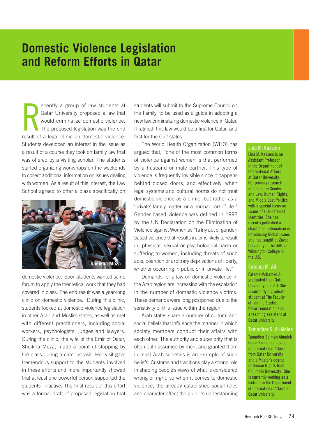### **Domestic Violence Legislation and Reform Efforts in Qatar**

R<br>result of ecently a group of law students at Qatar University proposed a law that would criminalize domestic violence. The proposed legislation was the end result of a legal clinic on domestic violence. Students developed an interest in the issue as a result of a course they took on family law that was offered by a visiting scholar. The students started organizing workshops on the weekends to collect additional information on issues dealing with women. As a result of this interest, the Law School agreed to offer a class specifically on



domestic violence. Soon students wanted some forum to apply the theoretical work that they had covered in class. The end result was a year-long clinic on domestic violence. During this clinic, students looked at domestic violence legislation in other Arab and Muslim states, as well as met with different practitioners, including social workers, psychologists, judges and lawyers. During the clinic, the wife of the Emir of Qatar, Sheikha Moza, made a point of stopping by the class during a campus visit. Her visit gave tremendous support to the students involved in these efforts and more importantly showed that at least one powerful person supported the students' initiative. The final result of this effort was a formal draft of proposed legislation that

students will submit to the Supreme Council on the Family, to be used as a guide in adopting a new law criminalizing domestic violence in Qatar. If ratified, this law would be a first for Qatar, and first for the Gulf states.

The World Health Organization (WHO) has argued that, "one of the most common forms of violence against women is that performed by a husband or male partner. This type of violence is frequently invisible since it happens behind closed doors, and effectively, when legal systems and cultural norms do not treat domestic violence as a crime, but rather as a 'private' family matter, or a normal part of life." Gender-based violence was defined in 1993 by the UN Declaration on the Elimination of Violence against Women as "[a]ny act of genderbased violence that results in, or is likely to result in, physical, sexual or psychological harm or suffering to women, including threats of such acts, coercion or arbitrary deprivations of liberty, whether occurring in public or in private life."

Demands for a law on domestic violence in the Arab region are increasing with the escalation in the number of domestic violence victims. These demands were long postponed due to the sensitivity of this issue within the region.

Arab states share a number of cultural and social beliefs that influence the manner in which society members conduct their affairs with each other. The authority and superiority that is often both assumed by men, and granted them in most Arab societies is an example of such beliefs. Customs and traditions play a strong role in shaping people's views of what is considered wrong or right; so when it comes to domestic violence, the already established social roles and character affect the public's understanding Lina M. Kassem Lina M. Kassem is an Assistant Professor in the Department of International Affairs at Qatar University. Her primary research interests are Gender and Law, Human Rights, and Middle East Politics with a special focus on issues of sub-national identities. She has recently published a chapter on nationalism in Introducing Global Issues and has taught at Zayed University in the UAE, and Wilmington College in the U.S.

### Fatema M. Ali

Fatema Mohamed Ali graduated from Qatar University in 2010. She is currently a graduate student at The Faculty of Islamic Studies, Qatar Foundation and a teaching assistant at Qatar University.

#### Tamadher S. Al-Malek

Tamadher Salman Almalek has a Bachelors degree in International Affairs from Qatar University and a Master's degree in Human Rights from Columbia University. She is currently working as a lecturer in the Department of International Affairs at Qatar University.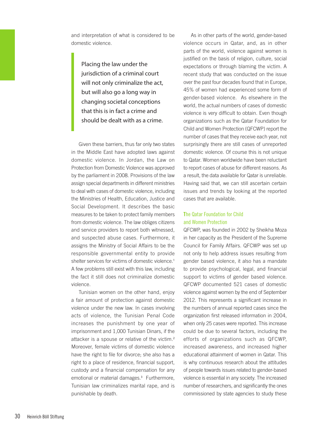and interpretation of what is considered to be domestic violence.

Placing the law under the jurisdiction of a criminal court will not only criminalize the act, but will also go a long way in changing societal conceptions that this is in fact a crime and should be dealt with as a crime.

Given these barriers, thus far only two states in the Middle East have adopted laws against domestic violence. In Jordan, the Law on Protection from Domestic Violence was approved by the parliament in 2008. Provisions of the law assign special departments in different ministries to deal with cases of domestic violence, including the Ministries of Health, Education, Justice and Social Development. It describes the basic measures to be taken to protect family members from domestic violence. The law obliges citizens and service providers to report both witnessed, and suspected abuse cases. Furthermore, it assigns the Ministry of Social Affairs to be the responsible governmental entity to provide shelter services for victims of domestic violence.<sup>1</sup> A few problems still exist with this law, including the fact it still does not criminalize domestic violence.

Tunisian women on the other hand, enjoy a fair amount of protection against domestic violence under the new law. In cases involving acts of violence, the Tunisian Penal Code increases the punishment by one year of imprisonment and 1,000 Tunisian Dinars, if the attacker is a spouse or relative of the victim.<sup>2</sup> Moreover, female victims of domestic violence have the right to file for divorce; she also has a right to a place of residence, financial support, custody and a financial compensation for any emotional or material damages.<sup>3</sup> Furthermore, Tunisian law criminalizes marital rape, and is punishable by death.

As in other parts of the world, gender-based violence occurs in Qatar, and, as in other parts of the world, violence against women is justified on the basis of religion, culture, social expectations or through blaming the victim. A recent study that was conducted on the issue over the past four decades found that in Europe, 45% of women had experienced some form of gender-based violence. As elsewhere in the world, the actual numbers of cases of domestic violence is very difficult to obtain. Even though organizations such as the Qatar Foundation for Child and Women Protection (QFCWP) report the number of cases that they receive each year, not surprisingly there are still cases of unreported domestic violence. Of course this is not unique to Qatar. Women worldwide have been reluctant to report cases of abuse for different reasons. As a result, the data available for Qatar is unreliable. Having said that, we can still ascertain certain issues and trends by looking at the reported cases that are available.

### The Qatar Foundation for Child and Women Protection

QFCWP, was founded in 2002 by Sheikha Moza in her capacity as the President of the Supreme Council for Family Affairs. QFCWP was set up not only to help address issues resulting from gender based violence, it also has a mandate to provide psychological, legal, and financial support to victims of gender based violence. QFCWP documented 521 cases of domestic violence against women by the end of September 2012. This represents a significant increase in the numbers of annual reported cases since the organization first released information in 2004, when only 25 cases were reported. This increase could be due to several factors, including the efforts of organizations such as QFCWP, increased awareness, and increased higher educational attainment of women in Qatar. This is why continuous research about the attitudes of people towards issues related to gender-based violence is essential in any society. The increased number of researchers, and significantly the ones commissioned by state agencies to study these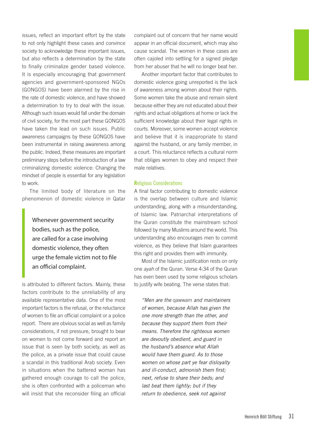issues, reflect an important effort by the state to not only highlight these cases and convince society to acknowledge these important issues, but also reflects a determination by the state to finally criminalize gender based violence. It is especially encouraging that government agencies and government-sponsored NGOs (GONGOS) have been alarmed by the rise in the rate of domestic violence, and have showed a determination to try to deal with the issue. Although such issues would fall under the domain of civil society, for the most part these GONGOS have taken the lead on such issues. Public awareness campaigns by these GONGOS have been instrumental in raising awareness among the public. Indeed, these measures are important preliminary steps before the introduction of a law criminalizing domestic violence: Changing the mindset of people is essential for any legislation to work.

The limited body of literature on the phenomenon of domestic violence in Qatar

Whenever government security bodies, such as the police, are called for a case involving domestic violence, they often urge the female victim not to file an official complaint.

is attributed to different factors. Mainly, these factors contribute to the unreliability of any available representative data. One of the most important factors is the refusal, or the reluctance of women to file an official complaint or a police report. There are obvious social as well as family considerations, if not pressure, brought to bear on women to not come forward and report an issue that is seen by both society, as well as the police, as a private issue that could cause a scandal in this traditional Arab society. Even in situations when the battered woman has gathered enough courage to call the police, she is often confronted with a policeman who will insist that she reconsider filing an official

complaint out of concern that her name would appear in an official document, which may also cause scandal. The women in these cases are often cajoled into settling for a signed pledge from her abuser that he will no longer beat her.

Another important factor that contributes to domestic violence going unreported is the lack of awareness among women about their rights. Some women take the abuse and remain silent because either they are not educated about their rights and actual obligations at home or lack the sufficient knowledge about their legal rights in courts. Moreover, some women accept violence and believe that it is inappropriate to stand against the husband, or any family member, in a court. This reluctance reflects a cultural norm that obliges women to obey and respect their male relatives.

### Religious Considerations

A final factor contributing to domestic violence is the overlap between culture and Islamic understanding, along with a misunderstanding, of Islamic law. Patriarchal interpretations of the Quran constitute the mainstream school followed by many Muslims around the world. This understanding also encourages men to commit violence, as they believe that Islam guarantees this right and provides them with immunity.

Most of the Islamic justification rests on only one *ayah* of the Quran. Verse 4:34 of the Quran has even been used by some religious scholars to justify wife beating. The verse states that:

*"Men are the* qawwam *and maintainers of women, because Allah has given the one more strength than the other, and because they support them from their means. Therefore the righteous women are devoutly obedient, and guard in the husband's absence what Allah would have them guard. As to those women on whose part ye fear disloyalty and ill-conduct, admonish them first; next, refuse to share their beds; and last beat them lightly; but if they return to obedience, seek not against*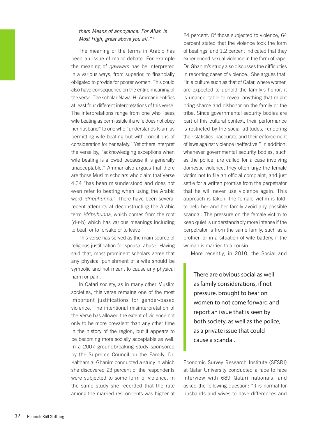### *them Means of annoyance: For Allah is Most High, great above you all."* <sup>4</sup>

The meaning of the terms in Arabic has been an issue of major debate. For example the meaning of *qawwam* has be interpreted in a various ways, from superior, to financially obligated to provide for poorer women. This could also have consequence on the entire meaning of the verse. The scholar Nawal H. Ammar identifies at least four different interpretations of this verse. The interpretations range from one who "sees wife beating as permissible if a wife does not obey her husband" to one who "understands Islam as permitting wife beating but with conditions of consideration for her safety." Yet others interpret the verse by, "acknowledging exceptions when wife beating is allowed because it is generally unacceptable." Ammar also argues that there are those Muslim scholars who claim that Verse 4:34 "has been misunderstood and does not even refer to beating when using the Arabic word *idribuhunna*." There have been several recent attempts at deconstructing the Arabic term *idribuhunna*, which comes from the root (d-r-b) which has various meanings including to beat, or to forsake or to leave.

This verse has served as the main source of religious justification for spousal abuse. Having said that, most prominent scholars agree that any physical punishment of a wife should be symbolic and not meant to cause any physical harm or pain.

In Qatari society, as in many other Muslim societies, this verse remains one of the most important justifications for gender-based violence. The intentional misinterpretation of the Verse has allowed the extent of violence not only to be more prevalent than any other time in the history of the region, but it appears to be becoming more socially acceptable as well. In a 2007 groundbreaking study sponsored by the Supreme Council on the Family, Dr. Kaltham al-Ghanim conducted a study in which she discovered 23 percent of the respondents were subjected to some form of violence. In the same study she recorded that the rate among the married respondents was higher at

24 percent. Of those subjected to violence, 64 percent stated that the violence took the form of beatings, and 1.2 percent indicated that they experienced sexual violence in the form of rape. Dr. Ghanim's study also discusses the difficulties in reporting cases of violence. She argues that, "in a culture such as that of Qatar, where women are expected to uphold the family's honor, it is unacceptable to reveal anything that might bring shame and dishonor on the family or the tribe. Since governmental security bodies are part of this cultural context, their performance is restricted by the social attitudes, rendering their statistics inaccurate and their enforcement of laws against violence ineffective." In addition, whenever governmental security bodies, such as the police, are called for a case involving domestic violence, they often urge the female victim not to file an official complaint, and just settle for a written promise from the perpetrator that he will never use violence again. This approach is taken, the female victim is told, to help her and her family avoid any possible scandal. The pressure on the female victim to keep quiet is understandably more intense if the perpetrator is from the same family, such as a brother, or in a situation of wife battery, if the woman is married to a cousin.

More recently, in 2010, the Social and

There are obvious social as well as family considerations, if not pressure, brought to bear on women to not come forward and report an issue that is seen by both society, as well as the police, as a private issue that could cause a scandal.

Economic Survey Research Institute (SESRI) at Qatar University conducted a face to face interview with 689 Qatari nationals, and asked the following question: "It is normal for husbands and wives to have differences and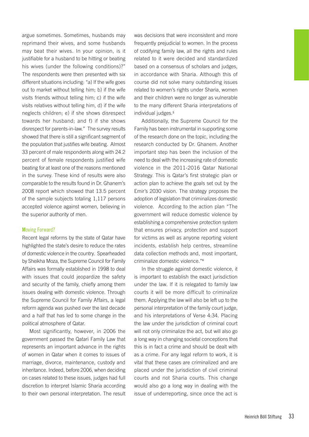argue sometimes. Sometimes, husbands may reprimand their wives, and some husbands may beat their wives. In your opinion, is it justifiable for a husband to be hitting or beating his wives (under the following conditions)?" The respondents were then presented with six different situations including: "a) If the wife goes out to market without telling him; b) if the wife visits friends without telling him; c) if the wife visits relatives without telling him, d) if the wife neglects children; e) if she shows disrespect towards her husband; and f) if she shows disrespect for parents-in-law." The survey results showed that there is still a significant segment of the population that justifies wife beating. Almost 33 percent of male respondents along with 24.2 percent of female respondents justified wife beating for at least one of the reasons mentioned in the survey. These kind of results were also comparable to the results found in Dr. Ghanem's 2008 report which showed that 13.5 percent of the sample subjects totaling 1,117 persons accepted violence against women, believing in the superior authority of men.

### Moving Forward?

Recent legal reforms by the state of Qatar have highlighted the state's desire to reduce the rates of domestic violence in the country. Spearheaded by Sheikha Moza, the Supreme Council for Family Affairs was formally established in 1998 to deal with issues that could jeopardize the safety and security of the family, chiefly among them issues dealing with domestic violence. Through the Supreme Council for Family Affairs, a legal reform agenda was pushed over the last decade and a half that has led to some change in the political atmosphere of Qatar.

Most significantly, however, in 2006 the government passed the Qatari Family Law that represents an important advance in the rights of women in Qatar when it comes to issues of marriage, divorce, maintenance, custody and inheritance. Indeed, before 2006, when deciding on cases related to these issues, judges had full discretion to interpret Islamic Sharia according to their own personal interpretation. The result

was decisions that were inconsistent and more frequently prejudicial to women. In the process of codifying family law, all the rights and rules related to it were decided and standardized based on a consensus of scholars and judges, in accordance with Sharia. Although this of course did not solve many outstanding issues related to women's rights under Sharia, women and their children were no longer as vulnerable to the many different Sharia interpretations of individual judges.<sup>5</sup>

Additionally, the Supreme Council for the Family has been instrumental in supporting some of the research done on the topic, including the research conducted by Dr. Ghanem. Another important step has been the inclusion of the need to deal with the increasing rate of domestic violence in the 2011-2016 Qatar National Strategy. This is Qatar's first strategic plan or action plan to achieve the goals set out by the Emir's 2030 vision. The strategy proposes the adoption of legislation that criminalizes domestic violence. According to the action plan "The government will reduce domestic violence by establishing a comprehensive protection system that ensures privacy, protection and support for victims as well as anyone reporting violent incidents, establish help centres, streamline data collection methods and, most important, criminalize domestic violence."<sup>6</sup>

In the struggle against domestic violence, it is important to establish the exact jurisdiction under the law. If it is relegated to family law courts it will be more difficult to criminalize them. Applying the law will also be left up to the personal interpretation of the family court judge, and his interpretations of Verse 4:34. Placing the law under the jurisdiction of criminal court will not only criminalize the act, but will also go a long way in changing societal conceptions that this is in fact a crime and should be dealt with as a crime. For any legal reform to work, it is vital that these cases are criminalized and are placed under the jurisdiction of civil criminal courts and not Sharia courts. This change would also go a long way in dealing with the issue of underreporting, since once the act is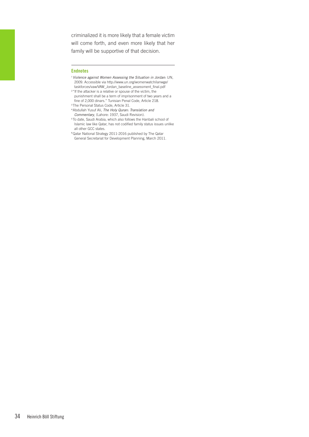criminalized it is more likely that a female victim will come forth, and even more likely that her family will be supportive of that decision.

#### Endnotes

- <sup>1</sup>*Violence against Women Assessing the Situation in Jordan*: UN, 2009. Accessible via http://www.un.org/womenwatch/ianwge/ taskforces/vaw/VAW\_Jordan\_baseline\_assessment\_final.pdf
- <sup>2</sup>"If the attacker is a relative or spouse of the victim, the punishment shall be a term of imprisonment of two years and a fine of 2,000 dinars." Tunisian Penal Code, Article 218.
- <sup>3</sup>The Personal Status Code, Article 31.
- <sup>4</sup>Abdullah Yusuf Ali, *The Holy Quran: Translation and Commentary*, (Lahore: 1937, Saudi Revision).
- <sup>5</sup>To date, Saudi Arabia, which also follows the Hanbali school of Islamic law like Qatar, has not codified family status issues unlike all other GCC states.
- <sup>6</sup>Qatar National Strategy 2011-2016 published by The Qatar General Secretariat for Development Planning, March 2011.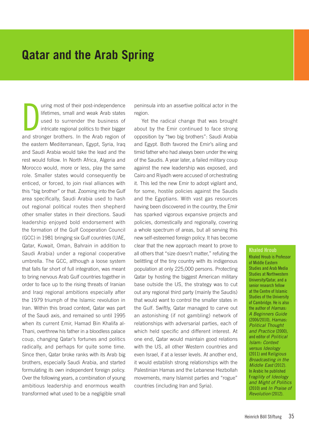### **Qatar and the Arab Spring**

 $\sum_{\text{and strn}}$ uring most of their post-independence lifetimes, small and weak Arab states used to surrender the business of intricate regional politics to their bigger and stronger brothers. In the Arab region of the eastern Mediterranean, Egypt, Syria, Iraq and Saudi Arabia would take the lead and the rest would follow. In North Africa, Algeria and Morocco would, more or less, play the same role. Smaller states would consequently be enticed, or forced, to join rival alliances with this "big brother" or that. Zooming into the Gulf area specifically, Saudi Arabia used to hash out regional political routes then shepherd other smaller states in their directions. Saudi leadership enjoyed bold endorsement with the formation of the Gulf Cooperation Council (GCC) in 1981 bringing six Gulf countries (UAE, Qatar, Kuwait, Oman, Bahrain in addition to Saudi Arabia) under a regional cooperative umbrella. The GCC, although a loose system that falls far short of full integration, was meant to bring nervous Arab Gulf countries together in order to face up to the rising threats of Iranian and Iraqi regional ambitions especially after the 1979 triumph of the Islamic revolution in Iran. Within this broad context, Qatar was part of the Saudi axis, and remained so until 1995 when its current Emir, Hamad Bin Khalifa al-Thani, overthrew his father in a bloodless palace coup, changing Qatar's fortunes and politics radically, and perhaps for quite some time. Since then, Qatar broke ranks with its Arab big brothers, especially Saudi Arabia, and started formulating its own independent foreign policy. Over the following years, a combination of young ambitious leadership and enormous wealth transformed what used to be a negligible small

peninsula into an assertive political actor in the region.

Yet the radical change that was brought about by the Emir continued to face strong opposition by "two big brothers": Saudi Arabia and Egypt. Both favored the Emir's ailing and timid father who had always been under the wing of the Saudis. A year later, a failed military coup against the new leadership was exposed, and Cairo and Riyadh were accused of orchestrating it. This led the new Emir to adopt vigilant and, for some, hostile policies against the Saudis and the Egyptians. With vast gas resources having been discovered in the country, the Emir has sparked vigorous expansive projects and policies, domestically and regionally, covering a whole spectrum of areas, but all serving this new self-esteemed foreign policy. It has become clear that the new approach meant to prove to all others that "size doesn't matter," refuting the belittling of the tiny country with its indigenous population at only 225,000 persons. Protecting Qatar by hosting the biggest American military base outside the US, the strategy was to cut out any regional third party (mainly the Saudis) that would want to control the smaller states in the Gulf. Swiftly, Qatar managed to carve out an astonishing (if not gambling) network of relationships with adversarial parties, each of which held specific and different interest. At one end, Qatar would maintain good relations with the US, all other Western countries and even Israel, if at a lesser levels. At another end, it would establish strong relationships with the Palestinian Hamas and the Lebanese Hezbollah movements, many Islamist parties and "rogue" countries (including Iran and Syria).

#### Khaled Hroub

Khaled Hroub is Professor of Middle Eastern Studies and Arab Media Studies at Northwestern University/Qatar, and a senior research fellow at the Centre of Islamic Studies of the University of Cambridge. He is also the author of *Hamas: A Beginners Guide*  (2006/2010), *Hamas: Political Thought and Practice* (2000), and editor of *Political Islam: Context versus Ideology* (2011) and R*eligious Broadcasting in the Middle East* (2012). In Arabic he published F*ragility of Ideology and Might of Politics* (2010) and *In Praise of Revolution* (2012).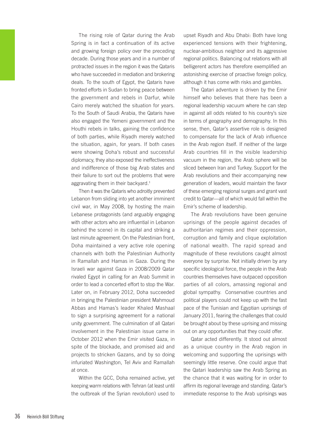The rising role of Qatar during the Arab Spring is in fact a continuation of its active and growing foreign policy over the preceding decade. During those years and in a number of protracted issues in the region it was the Qataris who have succeeded in mediation and brokering deals. To the south of Egypt, the Qataris have fronted efforts in Sudan to bring peace between the government and rebels in Darfur, while Cairo merely watched the situation for years. To the South of Saudi Arabia, the Qataris have also engaged the Yemeni government and the Houthi rebels in talks, gaining the confidence of both parties, while Riyadh merely watched the situation, again, for years. If both cases were showing Doha's robust and successful diplomacy, they also exposed the ineffectiveness and indifference of those big Arab states and their failure to sort out the problems that were aggravating them in their backyard.<sup>1</sup>

Then it was the Qataris who adroitly prevented Lebanon from sliding into yet another imminent civil war, in May 2008, by hosting the main Lebanese protagonists (and arguably engaging with other actors who are influential in Lebanon behind the scene) in its capital and striking a last minute agreement. On the Palestinian front, Doha maintained a very active role opening channels with both the Palestinian Authority in Ramallah and Hamas in Gaza. During the Israeli war against Gaza in 2008/2009 Qatar rivaled Egypt in calling for an Arab Summit in order to lead a concerted effort to stop the War. Later on, in February 2012, Doha succeeded in bringing the Palestinian president Mahmoud Abbas and Hamas's leader Khaled Mashaal to sign a surprising agreement for a national unity government. The culmination of all Qatari involvement in the Palestinian issue came in October 2012 when the Emir visited Gaza, in spite of the blockade, and promised aid and projects to stricken Gazans, and by so doing infuriated Washington, Tel Aviv and Ramallah at once.

Within the GCC, Doha remained active, yet keeping warm relations with Tehran (at least until the outbreak of the Syrian revolution) used to upset Riyadh and Abu Dhabi: Both have long experienced tensions with their frightening, nuclear-ambitious neighbor and its aggressive regional politics. Balancing out relations with all belligerent actors has therefore exemplified an astonishing exercise of proactive foreign policy, although it has come with risks and gambles.

The Qatari adventure is driven by the Emir himself who believes that there has been a regional leadership vacuum where he can step in against all odds related to his country's size in terms of geography and demography. In this sense, then, Qatar's assertive role is designed to compensate for the lack of Arab influence in the Arab region itself. If neither of the large Arab countries fill in the visible leadership vacuum in the region, the Arab sphere will be sliced between Iran and Turkey. Support for the Arab revolutions and their accompanying new generation of leaders, would maintain the favor of these emerging regional surges and grant vast credit to Qatar—all of which would fall within the Emir's scheme of leadership.

The Arab revolutions have been genuine uprisings of the people against decades of authoritarian regimes and their oppression, corruption and family and clique exploitation of national wealth. The rapid spread and magnitude of these revolutions caught almost everyone by surprise. Not initially driven by any specific ideological force, the people in the Arab countries themselves have outpaced opposition parties of all colors, amassing regional and global sympathy. Conservative countries and political players could not keep up with the fast pace of the Tunisian and Egyptian uprisings of January 2011, fearing the challenges that could be brought about by these uprising and missing out on any opportunities that they could offer.

Qatar acted differently. It stood out almost as a unique country in the Arab region in welcoming and supporting the uprisings with seemingly little reserve. One could argue that the Qatari leadership saw the Arab Spring as the chance that it was waiting for in order to affirm its regional leverage and standing. Qatar's immediate response to the Arab uprisings was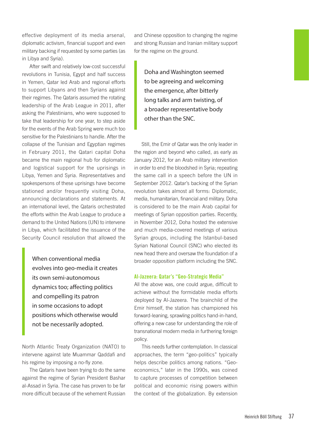effective deployment of its media arsenal, diplomatic activism, financial support and even military backing if requested by some parties (as in Libya and Syria).

After swift and relatively low-cost successful revolutions in Tunisia, Egypt and half success in Yemen, Qatar led Arab and regional efforts to support Libyans and then Syrians against their regimes. The Qataris assumed the rotating leadership of the Arab League in 2011, after asking the Palestinians, who were supposed to take that leadership for one year, to step aside for the events of the Arab Spring were much too sensitive for the Palestinians to handle. After the collapse of the Tunisian and Egyptian regimes in February 2011, the Qatari capital Doha became the main regional hub for diplomatic and logistical support for the uprisings in Libya, Yemen and Syria. Representatives and spokespersons of these uprisings have become stationed and/or frequently visiting Doha, announcing declarations and statements. At an international level, the Qataris orchestrated the efforts within the Arab League to produce a demand to the United Nations (UN) to intervene in Libya, which facilitated the issuance of the Security Council resolution that allowed the

When conventional media evolves into geo-media it creates its own semi-autonomous dynamics too; affecting politics and compelling its patron in some occasions to adopt positions which otherwise would not be necessarily adopted.

North Atlantic Treaty Organization (NATO) to intervene against late Muammar Qaddafi and his regime by imposing a no-fly zone.

The Qataris have been trying to do the same against the regime of Syrian President Bashar al-Assad in Syria. The case has proven to be far more difficult because of the vehement Russian and Chinese opposition to changing the regime and strong Russian and Iranian military support for the regime on the ground.

Doha and Washington seemed to be agreeing and welcoming the emergence, after bitterly long talks and arm twisting, of a broader representative body other than the SNC.

Still, the Emir of Qatar was the only leader in the region and beyond who called, as early as January 2012, for an Arab military intervention in order to end the bloodshed in Syria; repeating the same call in a speech before the UN in September 2012. Qatar's backing of the Syrian revolution takes almost all forms: Diplomatic, media, humanitarian, financial and military. Doha is considered to be the main Arab capital for meetings of Syrian opposition parties. Recently, in November 2012, Doha hosted the extensive and much media-covered meetings of various Syrian groups, including the Istanbul-based Syrian National Council (SNC) who elected its new head there and oversaw the foundation of a broader opposition platform including the SNC.

### Al-Jazeera: Qatar's "Geo-Strategic Media"

All the above was, one could argue, difficult to achieve without the formidable media efforts deployed by Al-Jazeera. The brainchild of the Emir himself, the station has championed his forward-leaning, sprawling politics hand-in-hand, offering a new case for understanding the role of transnational modern media in furthering foreign policy.

This needs further contemplation. In classical approaches, the term "geo-politics" typically helps describe politics among nations. "Geoeconomics," later in the 1990s, was coined to capture processes of competition between political and economic rising powers within the context of the globalization. By extension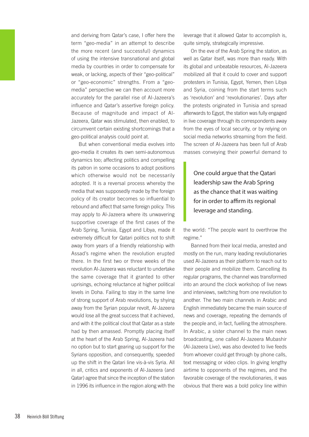and deriving from Qatar's case, I offer here the term "geo-media" in an attempt to describe the more recent (and successful) dynamics of using the intensive transnational and global media by countries in order to compensate for weak, or lacking, aspects of their "geo-political" or "geo-economic" strengths. From a "geomedia" perspective we can then account more accurately for the parallel rise of Al-Jazeera's influence and Qatar's assertive foreign policy. Because of magnitude and impact of Al-Jazeera, Qatar was stimulated, then enabled, to circumvent certain existing shortcomings that a geo-political analysis could point at.

But when conventional media evolves into geo-media it creates its own semi-autonomous dynamics too; affecting politics and compelling its patron in some occasions to adopt positions which otherwise would not be necessarily adopted. It is a reversal process whereby the media that was supposedly made by the foreign policy of its creator becomes so influential to rebound and affect that same foreign policy. This may apply to Al-Jazeera where its unwavering supportive coverage of the first cases of the Arab Spring, Tunisia, Egypt and Libya, made it extremely difficult for Qatari politics not to shift away from years of a friendly relationship with Assad's regime when the revolution erupted there. In the first two or three weeks of the revolution Al-Jazeera was reluctant to undertake the same coverage that it granted to other uprisings, echoing reluctance at higher political levels in Doha. Failing to stay in the same line of strong support of Arab revolutions, by shying away from the Syrian popular revolt, Al-Jazeera would lose all the great success that it achieved, and with it the political clout that Qatar as a state had by then amassed. Promptly placing itself at the heart of the Arab Spring, Al-Jazeera had no option but to start gearing up support for the Syrians opposition, and consequently, speeded up the shift in the Qatari line vis-à-vis Syria. All in all, critics and exponents of Al-Jazeera (and Qatar) agree that since the inception of the station in 1996 its influence in the region along with the

leverage that it allowed Qatar to accomplish is, quite simply, strategically impressive.

On the eve of the Arab Spring the station, as well as Qatar itself, was more than ready. With its global and unbeatable resources, Al-Jazeera mobilized all that it could to cover and support protesters in Tunisia, Egypt, Yemen, then Libya and Syria, coining from the start terms such as 'revolution' and 'revolutionaries'. Days after the protests originated in Tunisia and spread afterwards to Egypt, the station was fully engaged in live coverage through its correspondents away from the eyes of local security, or by relying on social media networks streaming from the field. The screen of Al-Jazeera has been full of Arab masses conveying their powerful demand to

One could argue that the Qatari leadership saw the Arab Spring as the chance that it was waiting for in order to affirm its regional leverage and standing.

the world: "The people want to overthrow the regime."

Banned from their local media, arrested and mostly on the run, many leading revolutionaries used Al-Jazeera as their platform to reach out to their people and mobilize them. Cancelling its regular programs, the channel was transformed into an around the clock workshop of live news and interviews, switching from one revolution to another. The two main channels in Arabic and English immediately became the main source of news and coverage, repeating the demands of the people and, in fact, fuelling the atmosphere. In Arabic, a sister channel to the main news broadcasting, one called Al-Jazeera Mubashir (Al-Jazeera Live), was also devoted to live feeds from whoever could get through by phone calls, text messaging or video clips. In giving lengthy airtime to opponents of the regimes, and the favorable coverage of the revolutionaries, it was obvious that there was a bold policy line within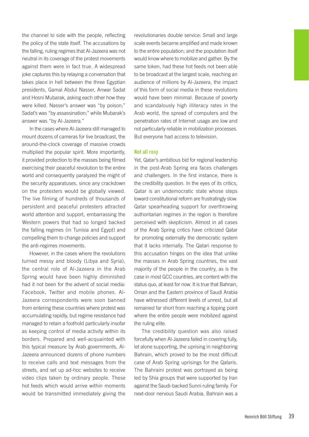the channel to side with the people, reflecting the policy of the state itself. The accusations by the falling, ruling regimes that Al-Jazeera was not neutral in its coverage of the protest movements against them were in fact true. A widespread joke captures this by relaying a conversation that takes place in hell between the three Egyptian presidents, Gamal Abdul Nasser, Anwar Sadat and Hosni Mubarak, asking each other how they were killed. Nasser's answer was "by poison;" Sadat's was "by assassination;" while Mubarak's answer was "by Al-Jazeera."

In the cases where Al-Jazeera still managed to mount dozens of cameras for live broadcast, the around-the-clock coverage of massive crowds multiplied the popular spirit. More importantly, it provided protection to the masses being filmed exercising their peaceful revolution to the entire world and consequently paralyzed the might of the security apparatuses, since any crackdown on the protesters would be globally viewed. The live filming of hundreds of thousands of persistent and peaceful protesters attracted world attention and support, embarrassing the Western powers that had so longed backed the falling regimes (in Tunisia and Egypt) and compelling them to change policies and support the anti-regimes movements.

However, in the cases where the revolutions turned messy and bloody (Libya and Syria), the central role of Al-Jazeera in the Arab Spring would have been highly diminished had it not been for the advent of social media: Facebook, Twitter and mobile phones. Al-Jazeera correspondents were soon banned from entering these countries where protest was accumulating rapidly, but regime resistance had managed to retain a foothold particularly insofar as keeping control of media activity within its borders. Prepared and well-acquainted with this typical measure by Arab governments, Al-Jazeera announced dozens of phone numbers to receive calls and text messages from the streets, and set up ad-hoc websites to receive video clips taken by ordinary people. These hot feeds which would arrive within moments would be transmitted immediately giving the revolutionaries double service: Small and large scale events became amplified and made known to the entire population; and the population itself would know where to mobilize and gather. By the same token, had these hot feeds not been able to be broadcast at the largest scale, reaching an audience of millions by Al-Jazeera, the impact of this form of social media in these revolutions would have been minimal. Because of poverty and scandalously high illiteracy rates in the Arab world, the spread of computers and the penetration rates of Internet usage are low and not particularly reliable in mobilization processes. But everyone had access to television.

### Not all rosy

Yet, Qatar's ambitious bid for regional leadership in the post-Arab Spring era faces challenges and challengers. In the first instance, there is the credibility question. In the eyes of its critics, Qatar is an undemocratic state whose steps toward constitutional reform are frustratingly slow. Qatar spearheading support for overthrowing authoritarian regimes in the region is therefore perceived with skepticism. Almost in all cases of the Arab Spring critics have criticized Qatar for promoting externally the democratic system that it lacks internally. The Qatari response to this accusation hinges on the idea that unlike the masses in Arab Spring countries, the vast majority of the people in the country, as is the case in most GCC countries, are content with the status quo, at least for now. It is true that Bahrain, Oman and the Eastern province of Saudi Arabia have witnessed different levels of unrest, but all remained far short from reaching a tipping point where the entire people were mobilized against the ruling elite.

The credibility question was also raised forcefully when Al-Jazeera failed in covering fully, let alone supporting, the uprising in neighboring Bahrain, which proved to be the most difficult case of Arab Spring uprisings for the Qataris. The Bahraini protest was portrayed as being led by Shia groups that were supported by Iran against the Saudi-backed Sunni ruling family. For next-door nervous Saudi Arabia, Bahrain was a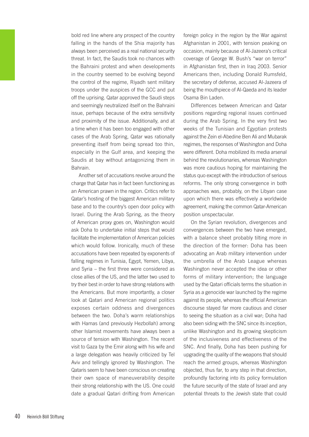bold red line where any prospect of the country falling in the hands of the Shia majority has always been perceived as a real national security threat. In fact, the Saudis took no chances with the Bahraini protest and when developments in the country seemed to be evolving beyond the control of the regime, Riyadh sent military troops under the auspices of the GCC and put off the uprising. Qatar approved the Saudi steps and seemingly neutralized itself on the Bahraini issue, perhaps because of the extra sensitivity and proximity of the issue. Additionally, and at a time when it has been too engaged with other cases of the Arab Spring, Qatar was rationally preventing itself from being spread too thin, especially in the Gulf area, and keeping the Saudis at bay without antagonizing them in Bahrain.

Another set of accusations revolve around the charge that Qatar has in fact been functioning as an American prawn in the region. Critics refer to Qatar's hosting of the biggest American military base and to the country's open door policy with Israel. During the Arab Spring, as the theory of American proxy goes on, Washington would ask Doha to undertake initial steps that would facilitate the implementation of American policies which would follow. Ironically, much of these accusations have been repeated by exponents of falling regimes in Tunisia, Egypt, Yemen, Libya, and Syria – the first three were considered as close allies of the US, and the latter two used to try their best in order to have strong relations with the Americans. But more importantly, a closer look at Qatari and American regional politics exposes certain oddness and divergences between the two. Doha's warm relationships with Hamas (and previously Hezbollah) among other Islamist movements have always been a source of tension with Washington. The recent visit to Gaza by the Emir along with his wife and a large delegation was heavily criticized by Tel Aviv and tellingly ignored by Washington. The Qataris seem to have been conscious on creating their own space of maneuverability despite their strong relationship with the US. One could date a gradual Qatari drifting from American

foreign policy in the region by the War against Afghanistan in 2001, with tension peaking on occasion, mainly because of Al-Jazeera's critical coverage of George W. Bush's "war on terror" in Afghanistan first, then in Iraq 2003. Senior Americans then, including Donald Rumsfeld, the secretary of defense, accused Al-Jazeera of being the mouthpiece of Al-Qaeda and its leader Osama Bin Laden.

Differences between American and Qatar positions regarding regional issues continued during the Arab Spring. In the very first two weeks of the Tunisian and Egyptian protests against the Zein el-Abedine Ben Ali and Mubarak regimes, the responses of Washington and Doha were different. Doha mobilized its media arsenal behind the revolutionaries, whereas Washington was more cautious hoping for maintaining the status quo except with the introduction of serious reforms. The only strong convergence in both approaches was, probably, on the Libyan case upon which there was effectively a worldwide agreement, making the common Qatar-American position unspectacular.

On the Syrian revolution, divergences and convergences between the two have emerged, with a balance sheet probably tilting more in the direction of the former: Doha has been advocating an Arab military intervention under the umbrella of the Arab League whereas Washington never accepted the idea or other forms of military intervention; the language used by the Qatari officials terms the situation in Syria as a genocide war launched by the regime against its people, whereas the official American discourse stayed far more cautious and closer to seeing the situation as a civil war; Doha had also been siding with the SNC since its inception, unlike Washington and its growing skepticism of the inclusiveness and effectiveness of the SNC. And finally, Doha has been pushing for upgrading the quality of the weapons that should reach the armed groups, whereas Washington objected, thus far, to any step in that direction, profoundly factoring into its policy formulation the future security of the state of Israel and any potential threats to the Jewish state that could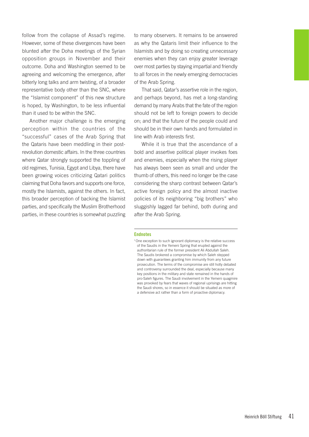follow from the collapse of Assad's regime. However, some of these divergences have been blunted after the Doha meetings of the Syrian opposition groups in November and their outcome. Doha and Washington seemed to be agreeing and welcoming the emergence, after bitterly long talks and arm twisting, of a broader representative body other than the SNC, where the "Islamist component" of this new structure is hoped, by Washington, to be less influential than it used to be within the SNC.

Another major challenge is the emerging perception within the countries of the "successful" cases of the Arab Spring that the Qataris have been meddling in their postrevolution domestic affairs. In the three countries where Qatar strongly supported the toppling of old regimes, Tunisia, Egypt and Libya, there have been growing voices criticizing Qatari politics claiming that Doha favors and supports one force, mostly the Islamists, against the others. In fact, this broader perception of backing the Islamist parties, and specifically the Muslim Brotherhood parties, in these countries is somewhat puzzling

to many observers. It remains to be answered as why the Qataris limit their influence to the Islamists and by doing so creating unnecessary enemies when they can enjoy greater leverage over most parties by staying impartial and friendly to all forces in the newly emerging democracies of the Arab Spring.

That said, Qatar's assertive role in the region, and perhaps beyond, has met a long-standing demand by many Arabs that the fate of the region should not be left to foreign powers to decide on; and that the future of the people could and should be in their own hands and formulated in line with Arab interests first.

While it is true that the ascendance of a bold and assertive political player invokes foes and enemies, especially when the rising player has always been seen as small and under the thumb of others, this need no longer be the case considering the sharp contrast between Qatar's active foreign policy and the almost inactive policies of its neighboring "big brothers" who sluggishly lagged far behind, both during and after the Arab Spring.

#### Endnotes

<sup>1</sup>One exception to such ignorant diplomacy is the relative success of the Saudis in the Yemeni Spring that erupted against the authoritarian rule of the former president Ali Abdullah Saleh. The Saudis brokered a compromise by which Saleh stepped down with guarantees granting him immunity from any future prosecution. The terms of the compromise are still hotly debated and controversy surrounded the deal, especially because many key positions in the military and state remained in the hands of pro-Saleh figures. The Saudi involvement in the Yemeni quagmire was provoked by fears that waves of regional uprisings are hitting the Saudi shores, so in essence it should be situated as more of a defensive act rather than a form of proactive diplomacy.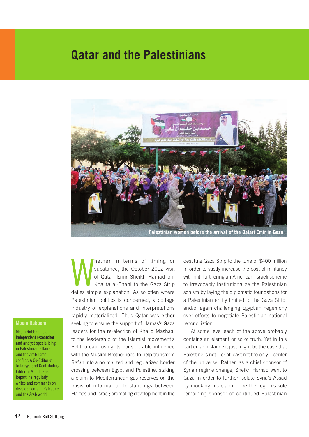### **Qatar and the Palestinians**



Mether in terms of timing or<br>substance, the October 2012 visit<br>of Qatari Emir Sheikh Hamad bin<br>Khalifa al-Thani to the Gaza Strip<br>defies simple explanation. As so often where hether in terms of timing or substance, the October 2012 visit of Qatari Emir Sheikh Hamad bin Khalifa al-Thani to the Gaza Strip Palestinian politics is concerned, a cottage industry of explanations and interpretations rapidly materialized. Thus Qatar was either seeking to ensure the support of Hamas's Gaza leaders for the re-election of Khalid Mashaal to the leadership of the Islamist movement's Politbureau; using its considerable influence with the Muslim Brotherhood to help transform Rafah into a normalized and regularized border crossing between Egypt and Palestine; staking a claim to Mediterranean gas reserves on the basis of informal understandings between Hamas and Israel; promoting development in the

destitute Gaza Strip to the tune of \$400 million in order to vastly increase the cost of militancy within it; furthering an American-Israeli scheme to irrevocably institutionalize the Palestinian schism by laying the diplomatic foundations for a Palestinian entity limited to the Gaza Strip; and/or again challenging Egyptian hegemony over efforts to negotiate Palestinian national reconciliation.

At some level each of the above probably contains an element or so of truth. Yet in this particular instance it just might be the case that Palestine is not – or at least not the only – center of the universe. Rather, as a chief sponsor of Syrian regime change, Sheikh Hamad went to Gaza in order to further isolate Syria's Assad by mocking his claim to be the region's sole remaining sponsor of continued Palestinian

### Mouin Rabbani

Mouin Rabbani is an independent researcher and analyst specialising in Palestinian affairs and the Arab-Israeli conflict. A Co-Editor of Jadaliyya and Contributing Editor to Middle East Report, he regularly writes and comments on developments in Palestine and the Arab world.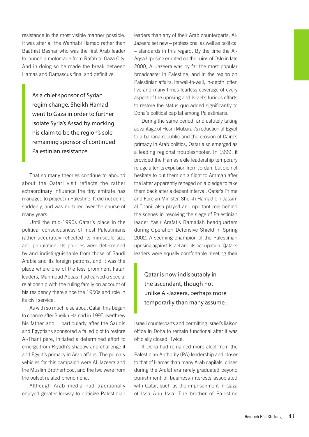resistance in the most visible manner possible. It was after all the Wahhabi Hamad rather than Baathist Bashar who was the first Arab leader to launch a motorcade from Rafah to Gaza City. And in doing so he made the break between Hamas and Damascus final and definitive.

As a chief sponsor of Syrian regim change, Sheikh Hamad went to Gaza in order to further isolate Syria's Assad by mocking his claim to be the region's sole remaining sponsor of continued Palestinian resistance.

That so many theories continue to abound about the Qatari visit reflects the rather extraordinary influence the tiny emirate has managed to project in Palestine. It did not come suddenly, and was nurtured over the course of many years.

Until the mid-1990s Qatar's place in the political consciousness of most Palestinians rather accurately reflected its miniscule size and population. Its policies were determined by and indistinguishable from those of Saudi Arabia and its foreign patrons, and it was the place where one of the less prominent Fatah leaders, Mahmoud Abbas, had carved a special relationship with the ruling family on account of his residency there since the 1950s and role in its civil service.

As with so much else about Qatar, this began to change after Sheikh Hamad in 1995 overthrew his father and – particularly after the Saudis and Egyptians sponsored a failed plot to restore Al-Thani père, initiated a determined effort to emerge from Riyadh's shadow and challenge it and Egypt's primacy in Arab affairs. The primary vehicles for this campaign were Al-Jazeera and the Muslim Brotherhood, and the two were from the outset related phenomena.

Although Arab media had traditionally enjoyed greater leeway to criticize Palestinian leaders than any of their Arab counterparts, Al-Jazeera set new – professional as well as political – standards in this regard. By the time the Al-Aqsa Uprising erupted on the ruins of Oslo in late 2000, Al-Jazeera was by far the most popular broadcaster in Palestine, and in the region on Palestinian affairs. Its wall-to-wall, in-depth, often live and many times fearless coverage of every aspect of the uprising and Israel's furious efforts to restore the status quo added significantly to Doha's political capital among Palestinians.

During the same period, and astutely taking advantage of Hosni Mubarak's reduction of Egypt to a banana republic and the erosion of Cairo's primacy in Arab politics, Qatar also emerged as a leading regional troubleshooter. In 1999, it provided the Hamas exile leadership temporary refuge after its expulsion from Jordan, but did not hesitate to put them on a flight to Amman after the latter apparently reneged on a pledge to take them back after a decent interval. Qatar's Prime and Foreign Minister, Sheikh Hamad bin Jassim al-Thani, also played an important role behind the scenes in resolving the siege of Palestinian leader Yasir Arafat's Ramallah headquarters during Operation Defensive Shield in Spring 2002. A seeming champion of the Palestinian uprising against Israel and its occupation, Qatar's leaders were equally comfortable meeting their

### Qatar is now indisputably in the ascendant, though not unlike Al-Jazeera, perhaps more temporarily than many assume.

Israeli counterparts and permitting Israel's liaison office in Doha to remain functional after it was officially closed. Twice.

If Doha had remained more aloof from the Palestinian Authority (PA) leadership and closer to that of Hamas than many Arab capitals, crises during the Arafat era rarely graduated beyond punishment of business interests associated with Qatar, such as the imprisonment in Gaza of Issa Abu Issa. The brother of Palestine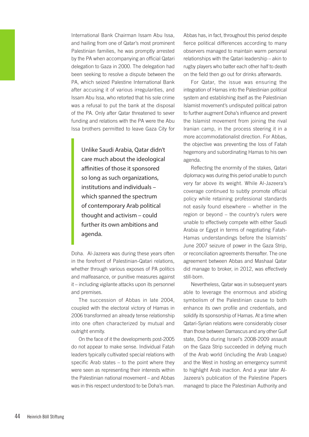International Bank Chairman Issam Abu Issa, and hailing from one of Qatar's most prominent Palestinian families, he was promptly arrested by the PA when accompanying an official Qatari delegation to Gaza in 2000. The delegation had been seeking to resolve a dispute between the PA, which seized Palestine International Bank after accusing it of various irregularities, and Issam Abu Issa, who retorted that his sole crime was a refusal to put the bank at the disposal of the PA. Only after Qatar threatened to sever funding and relations with the PA were the Abu Issa brothers permitted to leave Gaza City for

Unlike Saudi Arabia, Qatar didn't care much about the ideological affinities of those it sponsored so long as such organizations, institutions and individuals – which spanned the spectrum of contemporary Arab political thought and activism – could further its own ambitions and agenda.

Doha. Al-Jazeera was during these years often in the forefront of Palestinian-Qatari relations, whether through various exposes of PA politics and malfeasance, or punitive measures against it – including vigilante attacks upon its personnel and premises.

The succession of Abbas in late 2004, coupled with the electoral victory of Hamas in 2006 transformed an already tense relationship into one often characterized by mutual and outright enmity.

On the face of it the developments post-2005 do not appear to make sense. Individual Fatah leaders typically cultivated special relations with specific Arab states – to the point where they were seen as representing their interests within the Palestinian national movement – and Abbas was in this respect understood to be Doha's man.

Abbas has, in fact, throughout this period despite fierce political differences according to many observers managed to maintain warm personal relationships with the Qatari leadership – akin to rugby players who batter each other half to death on the field then go out for drinks afterwards.

For Qatar, the issue was ensuring the integration of Hamas into the Palestinian political system and establishing itself as the Palestinian Islamist movement's undisputed political patron to further augment Doha's influence and prevent the Islamist movement from joining the rival Iranian camp, in the process steering it in a more accommodationalist direction. For Abbas, the objective was preventing the loss of Fatah hegemony and subordinating Hamas to his own agenda.

Reflecting the enormity of the stakes, Qatari diplomacy was during this period unable to punch very far above its weight. While Al-Jazeera's coverage continued to subtly promote official policy while retaining professional standards not easily found elsewhere – whether in the region or beyond – the country's rulers were unable to effectively compete with either Saudi Arabia or Egypt in terms of negotiating Fatah-Hamas understandings before the Islamists' June 2007 seizure of power in the Gaza Strip, or reconciliation agreements thereafter. The one agreement between Abbas and Mashaal Qatar did manage to broker, in 2012, was effectively still-born.

Nevertheless, Qatar was in subsequent years able to leverage the enormous and abiding symbolism of the Palestinian cause to both enhance its own profile and credentials, and solidify its sponsorship of Hamas. At a time when Qatari-Syrian relations were considerably closer than those between Damascus and any other Gulf state, Doha during Israel's 2008-2009 assault on the Gaza Strip succeeded in defying much of the Arab world (including the Arab League) and the West in hosting an emergency summit to highlight Arab inaction. And a year later Al-Jazeera's publication of the Palestine Papers managed to place the Palestinian Authority and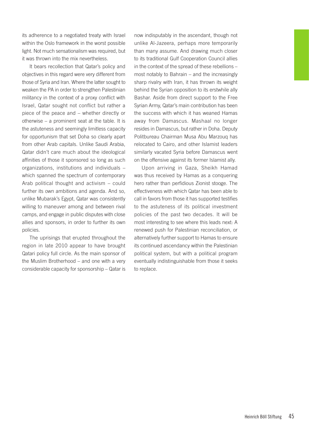its adherence to a negotiated treaty with Israel within the Oslo framework in the worst possible light. Not much sensationalism was required, but it was thrown into the mix nevertheless.

It bears recollection that Qatar's policy and objectives in this regard were very different from those of Syria and Iran. Where the latter sought to weaken the PA in order to strengthen Palestinian militancy in the context of a proxy conflict with Israel, Qatar sought not conflict but rather a piece of the peace and – whether directly or otherwise – a prominent seat at the table. It is the astuteness and seemingly limitless capacity for opportunism that set Doha so clearly apart from other Arab capitals. Unlike Saudi Arabia, Qatar didn't care much about the ideological affinities of those it sponsored so long as such organizations, institutions and individuals – which spanned the spectrum of contemporary Arab political thought and activism – could further its own ambitions and agenda. And so, unlike Mubarak's Egypt, Qatar was consistently willing to maneuver among and between rival camps, and engage in public disputes with close allies and sponsors, in order to further its own policies.

The uprisings that erupted throughout the region in late 2010 appear to have brought Qatari policy full circle. As the main sponsor of the Muslim Brotherhood – and one with a very considerable capacity for sponsorship – Qatar is

now indisputably in the ascendant, though not unlike Al-Jazeera, perhaps more temporarily than many assume. And drawing much closer to its traditional Gulf Cooperation Council allies in the context of the spread of these rebellions – most notably to Bahrain – and the increasingly sharp rivalry with Iran, it has thrown its weight behind the Syrian opposition to its erstwhile ally Bashar. Aside from direct support to the Free Syrian Army, Qatar's main contribution has been the success with which it has weaned Hamas away from Damascus. Mashaal no longer resides in Damascus, but rather in Doha. Deputy Politbureau Chairman Musa Abu Marzouq has relocated to Cairo, and other Islamist leaders similarly vacated Syria before Damascus went on the offensive against its former Islamist ally.

Upon arriving in Gaza, Sheikh Hamad was thus received by Hamas as a conquering hero rather than perfidious Zionist stooge. The effectiveness with which Qatar has been able to call in favors from those it has supported testifies to the astuteness of its political investment policies of the past two decades. It will be most interesting to see where this leads next: A renewed push for Palestinian reconciliation, or alternatively further support to Hamas to ensure its continued ascendancy within the Palestinian political system, but with a political program eventually indistinguishable from those it seeks to replace.